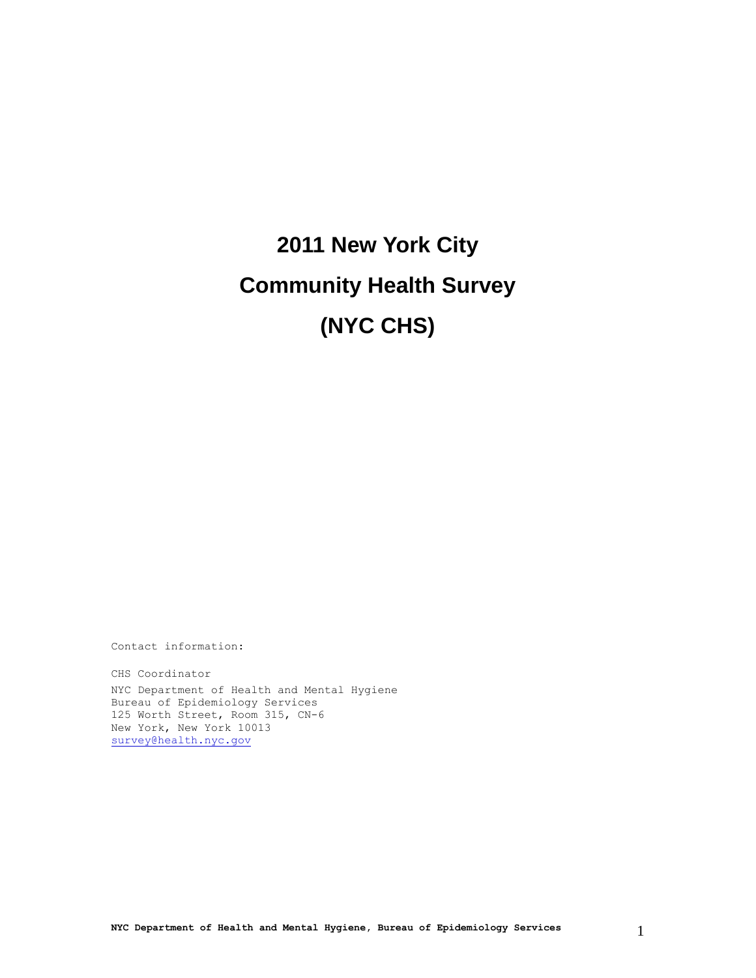# **2011 New York City Community Health Survey (NYC CHS)**

Contact information:

CHS Coordinator NYC Department of Health and Mental Hygiene Bureau of Epidemiology Services 125 Worth Street, Room 315, CN-6 New York, New York 10013 [survey@health.nyc.gov](mailto:survey@health.nyc.gov)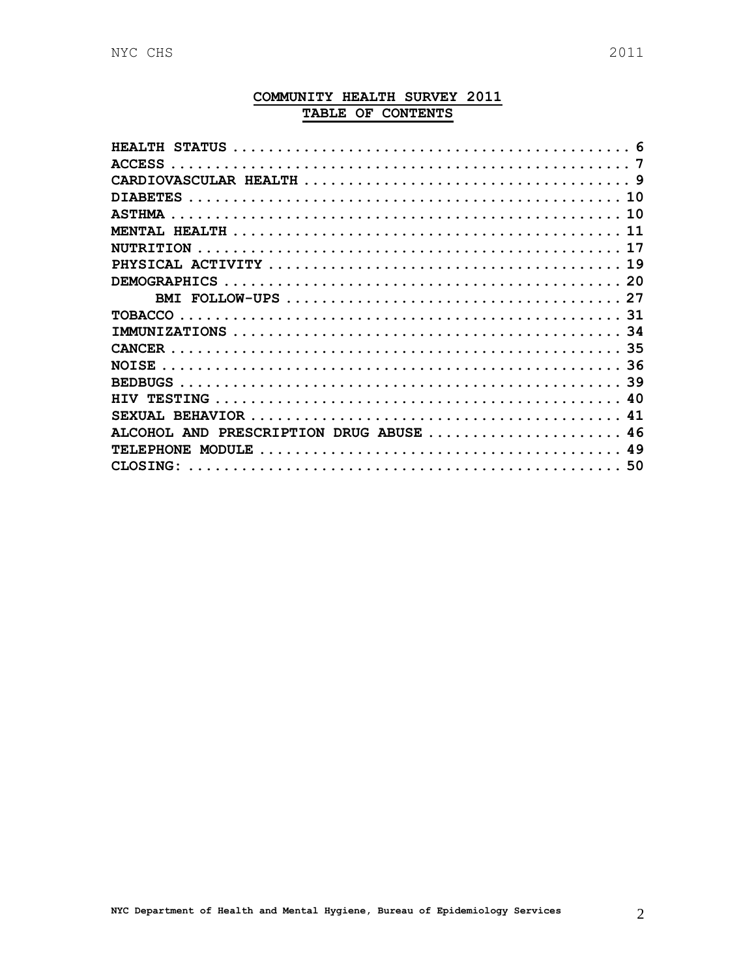## COMMUNITY HEALTH SURVEY 2011 TABLE OF CONTENTS

| <b>STATILS</b>                                                                                                           |
|--------------------------------------------------------------------------------------------------------------------------|
| <b>ACCESS</b>                                                                                                            |
|                                                                                                                          |
| <b>DIARETES</b>                                                                                                          |
| <b>ASTHMA</b>                                                                                                            |
|                                                                                                                          |
|                                                                                                                          |
|                                                                                                                          |
|                                                                                                                          |
|                                                                                                                          |
| <b>TOBACCO</b>                                                                                                           |
| 34                                                                                                                       |
|                                                                                                                          |
| 36<br>NOTSE.                                                                                                             |
| 39                                                                                                                       |
|                                                                                                                          |
| SEXUAL.                                                                                                                  |
| PRESCRIPTION DRUG ABUSE<br>AND                                                                                           |
| MODULE $\ldots \ldots \ldots \ldots \ldots \ldots \ldots \ldots \ldots \ldots \ldots \ldots \ldots$<br>49<br><b>HONE</b> |
| CLOSTNG:<br>.50                                                                                                          |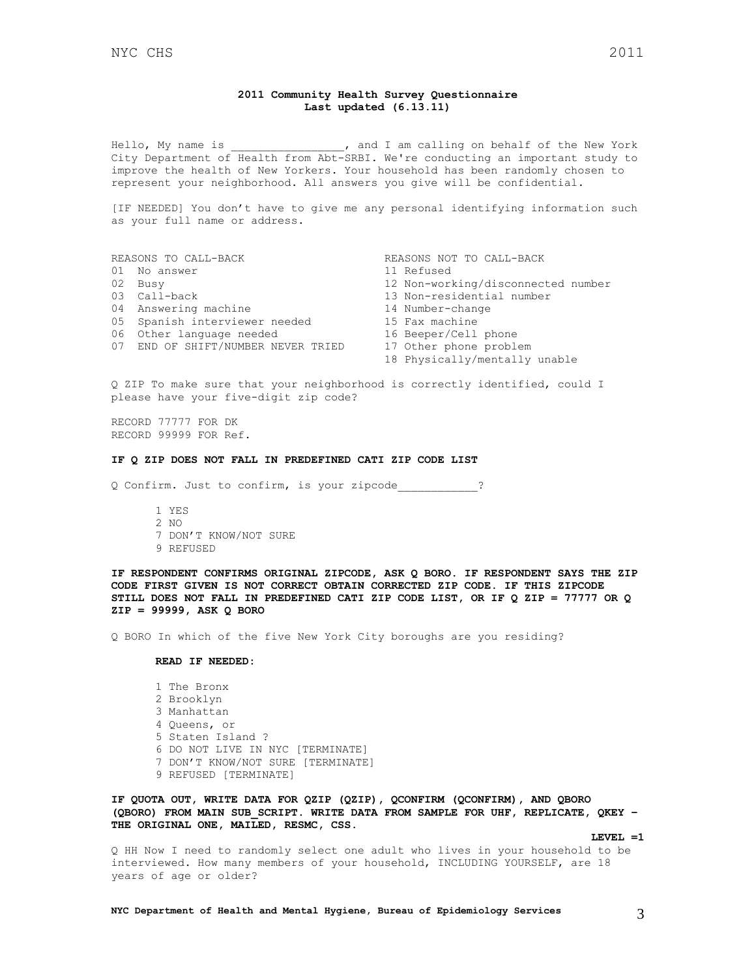### **2011 Community Health Survey Questionnaire Last updated (6.13.11)**

Hello, My name is  $\qquad \qquad$ , and I am calling on behalf of the New York City Department of Health from Abt-SRBI. We're conducting an important study to improve the health of New Yorkers. Your household has been randomly chosen to represent your neighborhood. All answers you give will be confidential.

[IF NEEDED] You don't have to give me any personal identifying information such as your full name or address.

|  | REASONS TO CALL-BACK               | REASONS NOT TO CALL-BACK           |
|--|------------------------------------|------------------------------------|
|  | 01 No answer                       | 11 Refused                         |
|  | 02 Busy                            | 12 Non-working/disconnected number |
|  | 03 Call-back                       | 13 Non-residential number          |
|  | 04 Answering machine               | 14 Number-change                   |
|  | 05 Spanish interviewer needed      | 15 Fax machine                     |
|  | 06 Other language needed           | 16 Beeper/Cell phone               |
|  | 07 END OF SHIFT/NUMBER NEVER TRIED | 17 Other phone problem             |
|  |                                    | 18 Physically/mentally unable      |
|  |                                    |                                    |

Q ZIP To make sure that your neighborhood is correctly identified, could I please have your five-digit zip code?

RECORD 77777 FOR DK RECORD 99999 FOR Ref.

#### **IF Q ZIP DOES NOT FALL IN PREDEFINED CATI ZIP CODE LIST**

Q Confirm. Just to confirm, is your zipcode\_\_\_\_\_\_\_\_\_\_\_\_?

1 YES  $2 NQ$ 7 DON'T KNOW/NOT SURE 9 REFUSED

**IF RESPONDENT CONFIRMS ORIGINAL ZIPCODE, ASK Q BORO. IF RESPONDENT SAYS THE ZIP CODE FIRST GIVEN IS NOT CORRECT OBTAIN CORRECTED ZIP CODE. IF THIS ZIPCODE STILL DOES NOT FALL IN PREDEFINED CATI ZIP CODE LIST, OR IF Q ZIP = 77777 OR Q ZIP = 99999, ASK Q BORO**

Q BORO In which of the five New York City boroughs are you residing?

### **READ IF NEEDED:**

1 The Bronx 2 Brooklyn 3 Manhattan 4 Queens, or 5 Staten Island ? 6 DO NOT LIVE IN NYC [TERMINATE] 7 DON'T KNOW/NOT SURE [TERMINATE] 9 REFUSED [TERMINATE]

**IF QUOTA OUT, WRITE DATA FOR QZIP (QZIP), QCONFIRM (QCONFIRM), AND QBORO (QBORO) FROM MAIN SUB\_SCRIPT. WRITE DATA FROM SAMPLE FOR UHF, REPLICATE, QKEY – THE ORIGINAL ONE, MAILED, RESMC, CSS.**

**LEVEL =1**

Q HH Now I need to randomly select one adult who lives in your household to be interviewed. How many members of your household, INCLUDING YOURSELF, are 18 years of age or older?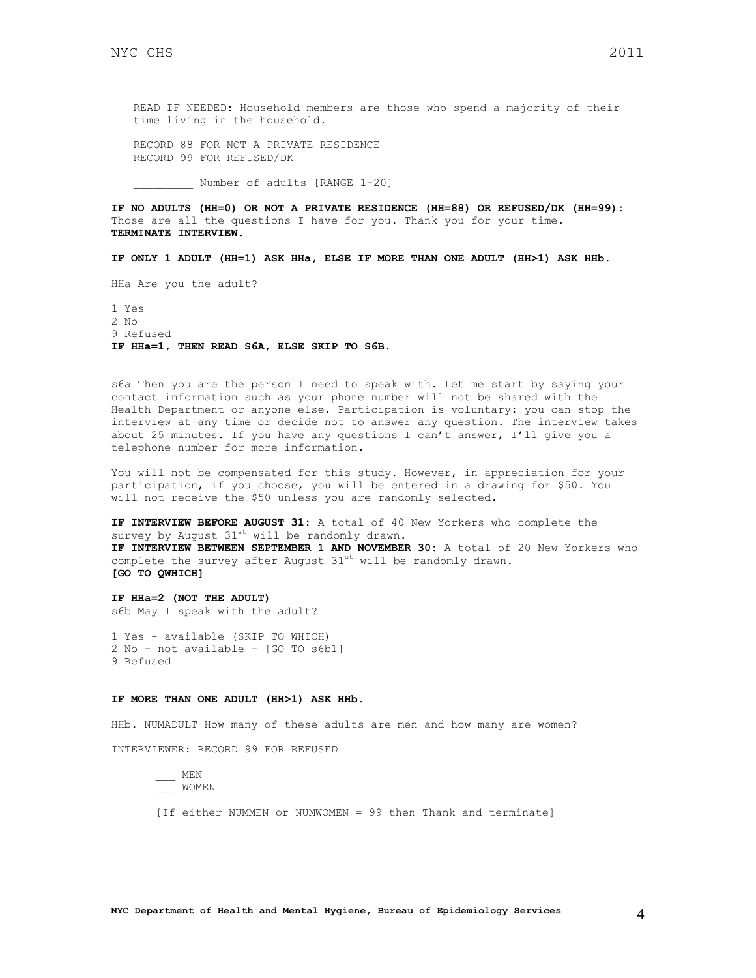READ IF NEEDED: Household members are those who spend a majority of their time living in the household.

RECORD 88 FOR NOT A PRIVATE RESIDENCE RECORD 99 FOR REFUSED/DK

Number of adults [RANGE 1-20]

**IF NO ADULTS (HH=0) OR NOT A PRIVATE RESIDENCE (HH=88) OR REFUSED/DK (HH=99):** Those are all the questions I have for you. Thank you for your time. **TERMINATE INTERVIEW.**

**IF ONLY 1 ADULT (HH=1) ASK HHa, ELSE IF MORE THAN ONE ADULT (HH>1) ASK HHb.**

HHa Are you the adult?

1 Yes 2 No 9 Refused **IF HHa=1, THEN READ S6A, ELSE SKIP TO S6B.**

s6a Then you are the person I need to speak with. Let me start by saying your contact information such as your phone number will not be shared with the Health Department or anyone else. Participation is voluntary: you can stop the interview at any time or decide not to answer any question. The interview takes about 25 minutes. If you have any questions I can't answer, I'll give you a telephone number for more information.

You will not be compensated for this study. However, in appreciation for your participation, if you choose, you will be entered in a drawing for \$50. You will not receive the \$50 unless you are randomly selected.

**IF INTERVIEW BEFORE AUGUST 31:** A total of 40 New Yorkers who complete the survey by August  $31^{st}$  will be randomly drawn. **IF INTERVIEW BETWEEN SEPTEMBER 1 AND NOVEMBER 30:** A total of 20 New Yorkers who complete the survey after August  $31^{st}$  will be randomly drawn. **[GO TO QWHICH]**

**IF HHa=2 (NOT THE ADULT)** s6b May I speak with the adult?

1 Yes - available (SKIP TO WHICH) 2 No - not available – [GO TO s6b1] 9 Refused

#### **IF MORE THAN ONE ADULT (HH>1) ASK HHb.**

HHb. NUMADULT How many of these adults are men and how many are women?

INTERVIEWER: RECORD 99 FOR REFUSED

\_\_\_ MEN \_\_\_ WOMEN

[If either NUMMEN or NUMWOMEN = 99 then Thank and terminate]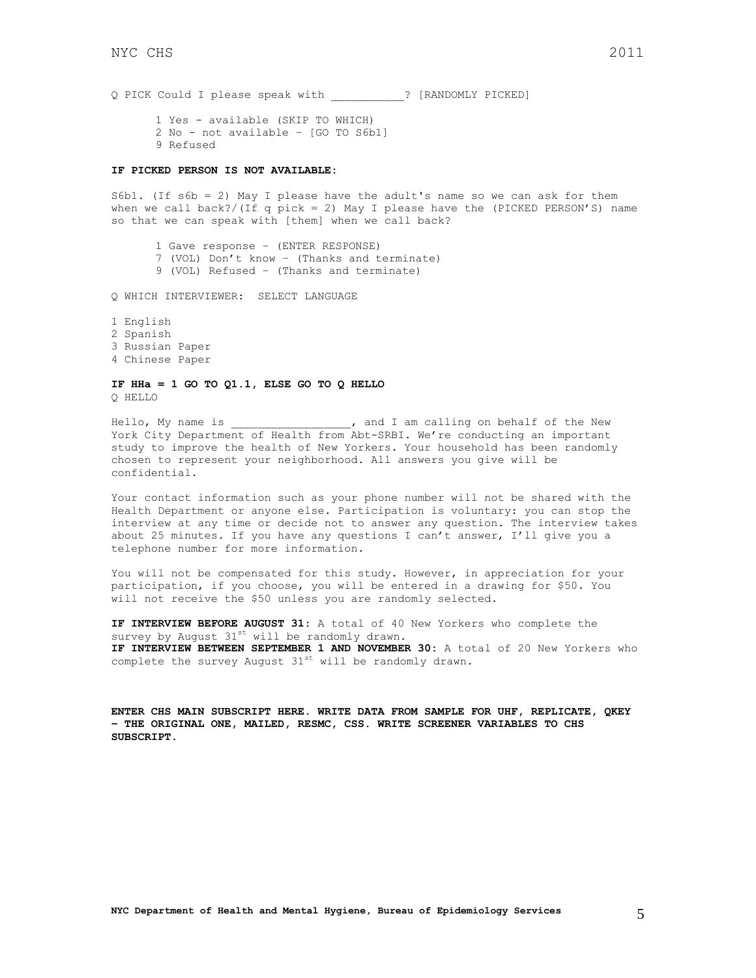Q PICK Could I please speak with \_\_\_\_\_\_\_\_\_\_\_? [RANDOMLY PICKED]

1 Yes - available (SKIP TO WHICH) 2 No - not available – [GO TO S6b1] 9 Refused

### **IF PICKED PERSON IS NOT AVAILABLE:**

S6b1. (If s6b = 2) May I please have the adult's name so we can ask for them when we call back?/(If q pick = 2) May I please have the (PICKED PERSON'S) name so that we can speak with [them] when we call back?

1 Gave response – (ENTER RESPONSE) 7 (VOL) Don't know – (Thanks and terminate) 9 (VOL) Refused – (Thanks and terminate)

Q WHICH INTERVIEWER: SELECT LANGUAGE

1 English 2 Spanish 3 Russian Paper

4 Chinese Paper

#### **IF HHa = 1 GO TO Q1.1, ELSE GO TO Q HELLO** Q HELLO

Hello, My name is \_\_\_\_\_\_\_\_\_\_\_\_\_\_\_, and I am calling on behalf of the New York City Department of Health from Abt-SRBI. We're conducting an important study to improve the health of New Yorkers. Your household has been randomly chosen to represent your neighborhood. All answers you give will be confidential.

Your contact information such as your phone number will not be shared with the Health Department or anyone else. Participation is voluntary: you can stop the interview at any time or decide not to answer any question. The interview takes about 25 minutes. If you have any questions I can't answer, I'll give you a telephone number for more information.

You will not be compensated for this study. However, in appreciation for your participation, if you choose, you will be entered in a drawing for \$50. You will not receive the \$50 unless you are randomly selected.

**IF INTERVIEW BEFORE AUGUST 31:** A total of 40 New Yorkers who complete the survey by August  $31^{st}$  will be randomly drawn. **IF INTERVIEW BETWEEN SEPTEMBER 1 AND NOVEMBER 30:** A total of 20 New Yorkers who complete the survey August  $31^{st}$  will be randomly drawn.

**ENTER CHS MAIN SUBSCRIPT HERE. WRITE DATA FROM SAMPLE FOR UHF, REPLICATE, QKEY – THE ORIGINAL ONE, MAILED, RESMC, CSS. WRITE SCREENER VARIABLES TO CHS SUBSCRIPT.**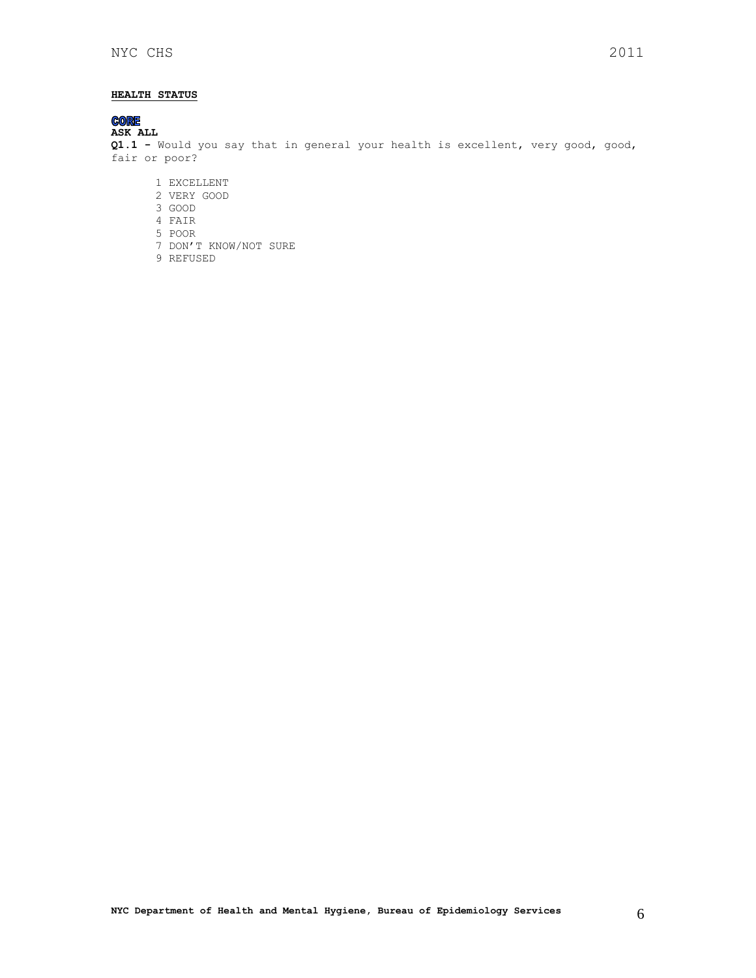### <span id="page-5-0"></span>**HEALTH STATUS**

# **CORE**<br>ASK ALL

**Q1.1 -** Would you say that in general your health is excellent, very good, good, fair or poor?

- 1 EXCELLENT
- 2 VERY GOOD
- 3 GOOD 4 FAIR
- 5 POOR
- 
- 7 DON'T KNOW/NOT SURE
- 9 REFUSED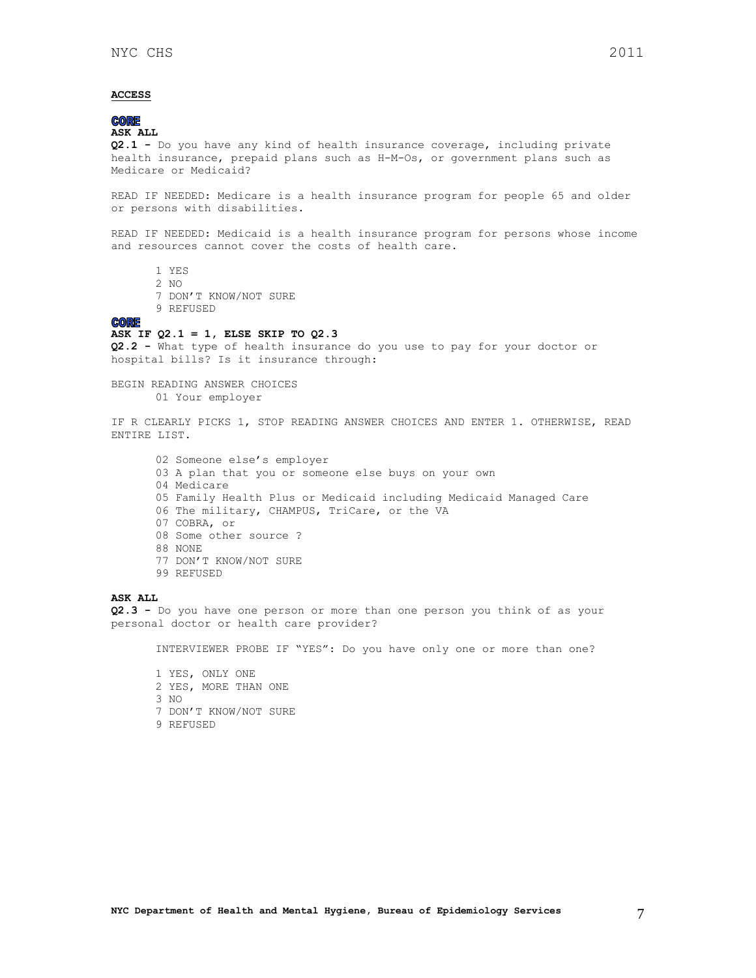### <span id="page-6-0"></span>**ACCESS**

## **CORE**

**ASK ALL**

**Q2.1 -** Do you have any kind of health insurance coverage, including private health insurance, prepaid plans such as H-M-Os, or government plans such as Medicare or Medicaid?

READ IF NEEDED: Medicare is a health insurance program for people 65 and older or persons with disabilities.

READ IF NEEDED: Medicaid is a health insurance program for persons whose income and resources cannot cover the costs of health care.

- 1 YES
- 2 NO
- 7 DON'T KNOW/NOT SURE
- 9 REFUSED

#### **CORE**

### **ASK IF Q2.1 = 1, ELSE SKIP TO Q2.3**

**Q2.2 -** What type of health insurance do you use to pay for your doctor or hospital bills? Is it insurance through:

BEGIN READING ANSWER CHOICES 01 Your employer

IF R CLEARLY PICKS 1, STOP READING ANSWER CHOICES AND ENTER 1. OTHERWISE, READ ENTIRE LIST.

02 Someone else's employer 03 A plan that you or someone else buys on your own 04 Medicare 05 Family Health Plus or Medicaid including Medicaid Managed Care 06 The military, CHAMPUS, TriCare, or the VA 07 COBRA, or 08 Some other source ? 88 NONE 77 DON'T KNOW/NOT SURE 99 REFUSED

### **ASK ALL**

**Q2.3 -** Do you have one person or more than one person you think of as your personal doctor or health care provider?

INTERVIEWER PROBE IF "YES": Do you have only one or more than one?

1 YES, ONLY ONE 2 YES, MORE THAN ONE 3 NO 7 DON'T KNOW/NOT SURE 9 REFUSED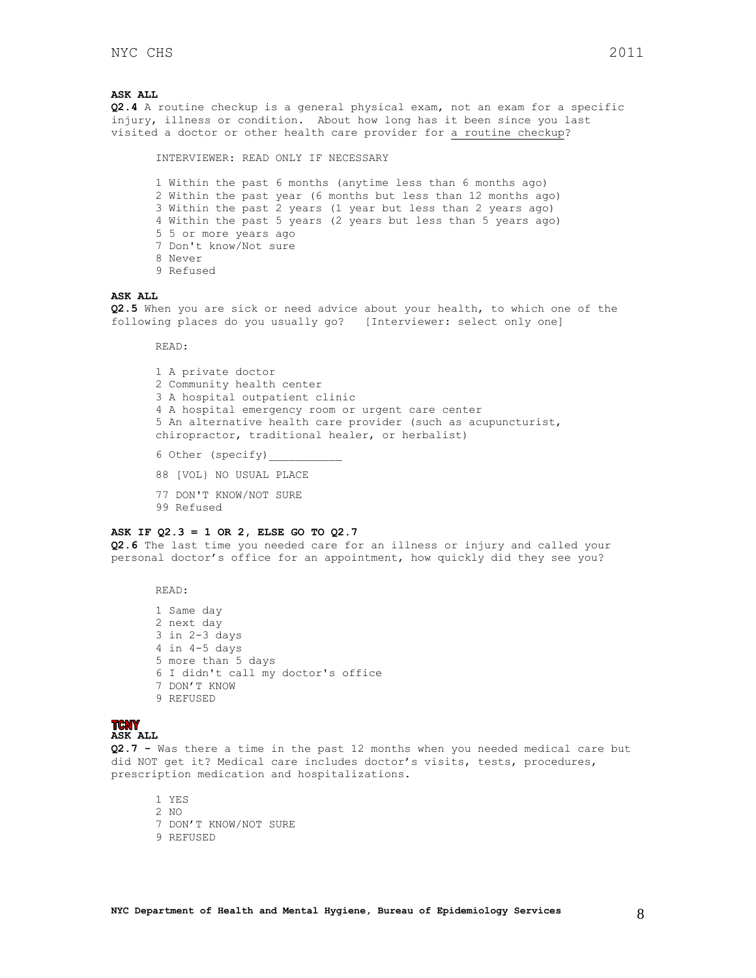### **ASK ALL**

**Q2.4** A routine checkup is a general physical exam, not an exam for a specific injury, illness or condition. About how long has it been since you last visited a doctor or other health care provider for a routine checkup?

1 Within the past 6 months (anytime less than 6 months ago) 2 Within the past year (6 months but less than 12 months ago) 3 Within the past 2 years (1 year but less than 2 years ago) 4 Within the past 5 years (2 years but less than 5 years ago) 5 5 or more years ago 7 Don't know/Not sure 8 Never 9 Refused

#### **ASK ALL**

**Q2.5** When you are sick or need advice about your health, to which one of the following places do you usually go? [Interviewer: select only one]

READ:

1 A private doctor 2 Community health center 3 A hospital outpatient clinic 4 A hospital emergency room or urgent care center 5 An alternative health care provider (such as acupuncturist, chiropractor, traditional healer, or herbalist) 6 Other (specify)

88 [VOL} NO USUAL PLACE

INTERVIEWER: READ ONLY IF NECESSARY

- 77 DON'T KNOW/NOT SURE
- 99 Refused

### **ASK IF Q2.3 = 1 OR 2, ELSE GO TO Q2.7**

**Q2.6** The last time you needed care for an illness or injury and called your personal doctor's office for an appointment, how quickly did they see you?

READ:

1 Same day 2 next day 3 in 2-3 days 4 in 4-5 days 5 more than 5 days 6 I didn't call my doctor's office 7 DON'T KNOW 9 REFUSED

### **TCNY**

**ASK ALL**

**Q2.7 -** Was there a time in the past 12 months when you needed medical care but did NOT get it? Medical care includes doctor's visits, tests, procedures, prescription medication and hospitalizations.

1 YES 2 NO 7 DON'T KNOW/NOT SURE 9 REFUSED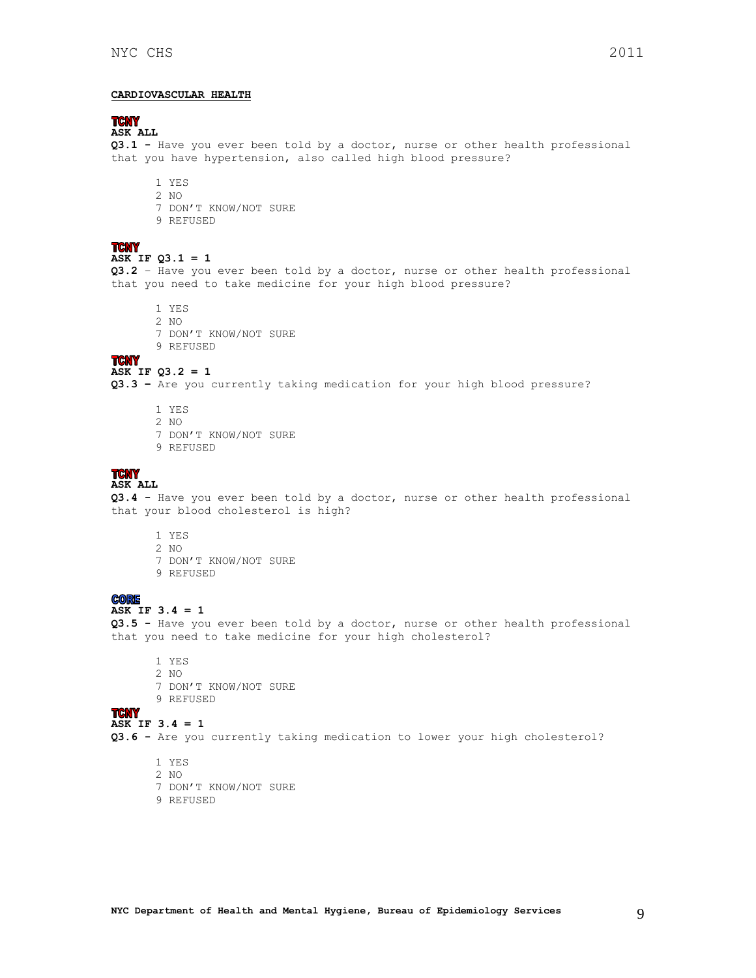## **TCNY**

**ASK ALL**

**Q3.1 -** Have you ever been told by a doctor, nurse or other health professional that you have hypertension, also called high blood pressure?

- <span id="page-8-0"></span>1 YES
- 2 NO
- 7 DON'T KNOW/NOT SURE
- 9 REFUSED

### **TCNY ASK IF Q3.1 = 1**

**Q3.2** – Have you ever been told by a doctor, nurse or other health professional that you need to take medicine for your high blood pressure?

- 1 YES
- 2 NO
- 7 DON'T KNOW/NOT SURE
- 9 REFUSED

### **TCNY**

#### **ASK IF Q3.2 = 1**

**Q3.3 –** Are you currently taking medication for your high blood pressure?

- 1 YES
- 2 NO
- 7 DON'T KNOW/NOT SURE
- 9 REFUSED

## **TCNY**<br>ASK ALL

**Q3.4 -** Have you ever been told by a doctor, nurse or other health professional that your blood cholesterol is high?

- 1 YES 2 NO 7 DON'T KNOW/NOT SURE
- 9 REFUSED

### **CORE**

### **ASK IF 3.4 = 1**

**Q3.5 -** Have you ever been told by a doctor, nurse or other health professional that you need to take medicine for your high cholesterol?

- 1 YES 2 NO 7 DON'T KNOW/NOT SURE
- 
- 9 REFUSED

#### **TCNY ASK IF 3.4 = 1**

**Q3.6 -** Are you currently taking medication to lower your high cholesterol?

- 1 YES
- 2 NO
- 7 DON'T KNOW/NOT SURE
- 9 REFUSED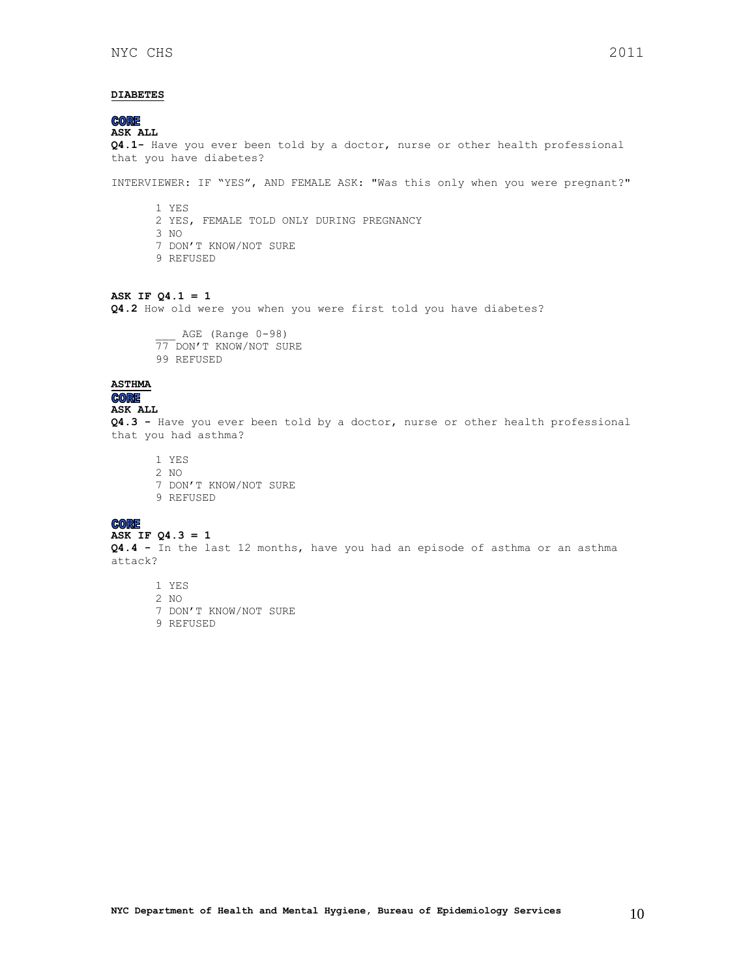### <span id="page-9-0"></span>**DIABETES**

**CORE** 

### **ASK ALL Q4.1-** Have you ever been told by a doctor, nurse or other health professional that you have diabetes?

INTERVIEWER: IF "YES", AND FEMALE ASK: "Was this only when you were pregnant?"

1 YES 2 YES, FEMALE TOLD ONLY DURING PREGNANCY 3 NO 7 DON'T KNOW/NOT SURE 9 REFUSED

#### **ASK IF Q4.1 = 1**

**Q4.2** How old were you when you were first told you have diabetes?

AGE (Range 0-98) 77 DON'T KNOW/NOT SURE 99 REFUSED

# <span id="page-9-1"></span>**ASTHMA**

**ASK ALL**

**Q4.3 -** Have you ever been told by a doctor, nurse or other health professional that you had asthma?

1 YES 2 NO 7 DON'T KNOW/NOT SURE 9 REFUSED

# **ASK IF Q4.3 = 1**

**Q4.4 -** In the last 12 months, have you had an episode of asthma or an asthma attack?

1 YES

- 2 NO
- 7 DON'T KNOW/NOT SURE
- 9 REFUSED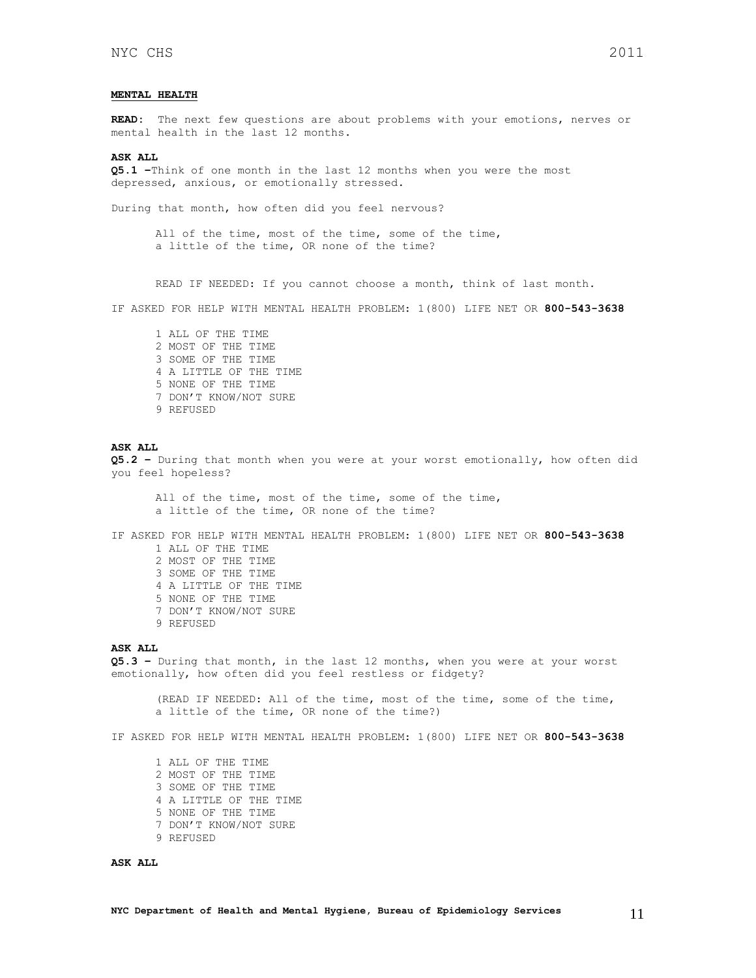### <span id="page-10-0"></span>**MENTAL HEALTH**

**READ:** The next few questions are about problems with your emotions, nerves or mental health in the last 12 months.

#### **ASK ALL**

**Q5.1 –**Think of one month in the last 12 months when you were the most depressed, anxious, or emotionally stressed.

During that month, how often did you feel nervous?

All of the time, most of the time, some of the time, a little of the time, OR none of the time?

READ IF NEEDED: If you cannot choose a month, think of last month.

IF ASKED FOR HELP WITH MENTAL HEALTH PROBLEM: 1(800) LIFE NET OR **800-543-3638**

1 ALL OF THE TIME 2 MOST OF THE TIME 3 SOME OF THE TIME 4 A LITTLE OF THE TIME 5 NONE OF THE TIME 7 DON'T KNOW/NOT SURE 9 REFUSED

#### **ASK ALL**

**Q5.2 –** During that month when you were at your worst emotionally, how often did you feel hopeless?

All of the time, most of the time, some of the time, a little of the time, OR none of the time?

IF ASKED FOR HELP WITH MENTAL HEALTH PROBLEM: 1(800) LIFE NET OR **800-543-3638** 1 ALL OF THE TIME

- 2 MOST OF THE TIME 3 SOME OF THE TIME 4 A LITTLE OF THE TIME 5 NONE OF THE TIME 7 DON'T KNOW/NOT SURE
- 9 REFUSED

#### **ASK ALL**

**Q5.3 –** During that month, in the last 12 months, when you were at your worst emotionally, how often did you feel restless or fidgety?

(READ IF NEEDED: All of the time, most of the time, some of the time, a little of the time, OR none of the time?)

IF ASKED FOR HELP WITH MENTAL HEALTH PROBLEM: 1(800) LIFE NET OR **800-543-3638**

1 ALL OF THE TIME 2 MOST OF THE TIME 3 SOME OF THE TIME 4 A LITTLE OF THE TIME 5 NONE OF THE TIME 7 DON'T KNOW/NOT SURE 9 REFUSED

### **ASK ALL**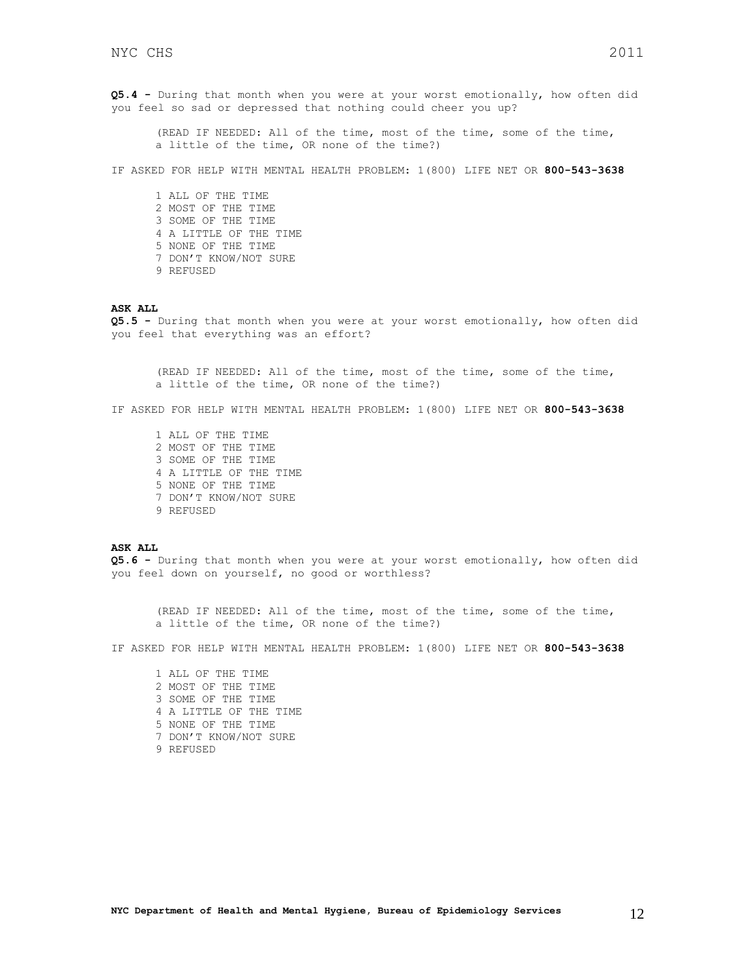**Q5.4 -** During that month when you were at your worst emotionally, how often did you feel so sad or depressed that nothing could cheer you up?

(READ IF NEEDED: All of the time, most of the time, some of the time, a little of the time, OR none of the time?)

IF ASKED FOR HELP WITH MENTAL HEALTH PROBLEM: 1(800) LIFE NET OR **800-543-3638**

1 ALL OF THE TIME 2 MOST OF THE TIME 3 SOME OF THE TIME 4 A LITTLE OF THE TIME 5 NONE OF THE TIME 7 DON'T KNOW/NOT SURE 9 REFUSED

#### **ASK ALL**

**Q5.5 -** During that month when you were at your worst emotionally, how often did you feel that everything was an effort?

(READ IF NEEDED: All of the time, most of the time, some of the time, a little of the time, OR none of the time?)

IF ASKED FOR HELP WITH MENTAL HEALTH PROBLEM: 1(800) LIFE NET OR **800-543-3638**

1 ALL OF THE TIME 2 MOST OF THE TIME 3 SOME OF THE TIME 4 A LITTLE OF THE TIME 5 NONE OF THE TIME 7 DON'T KNOW/NOT SURE 9 REFUSED

### **ASK ALL**

**Q5.6 -** During that month when you were at your worst emotionally, how often did you feel down on yourself, no good or worthless?

(READ IF NEEDED: All of the time, most of the time, some of the time, a little of the time, OR none of the time?)

IF ASKED FOR HELP WITH MENTAL HEALTH PROBLEM: 1(800) LIFE NET OR **800-543-3638**

1 ALL OF THE TIME 2 MOST OF THE TIME 3 SOME OF THE TIME 4 A LITTLE OF THE TIME 5 NONE OF THE TIME 7 DON'T KNOW/NOT SURE 9 REFUSED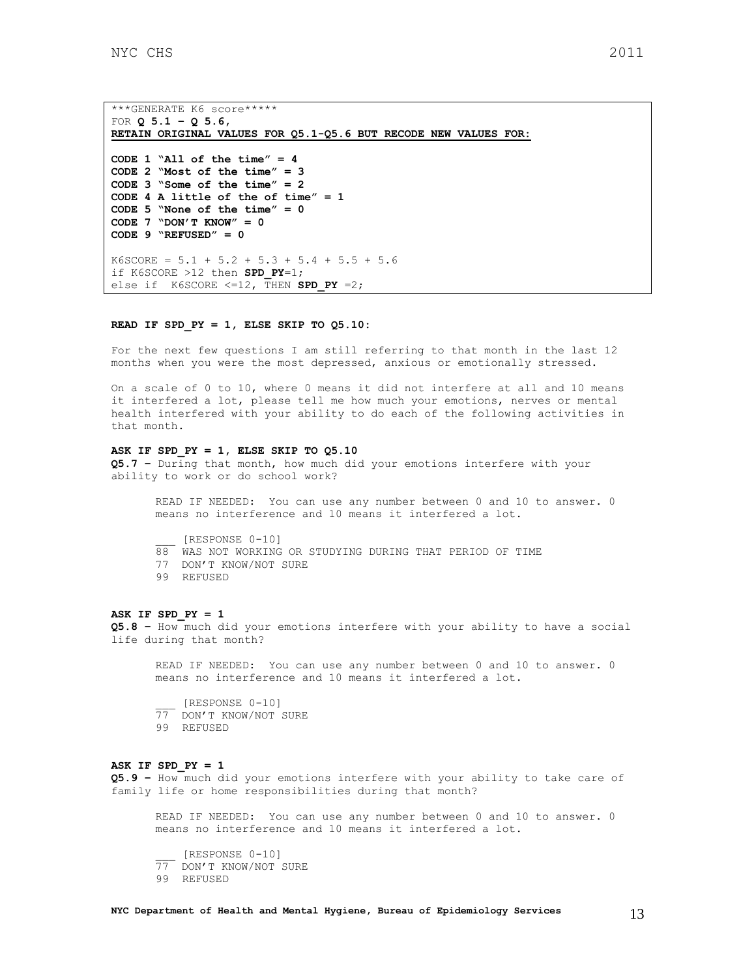```
***GENERATE K6 score*****
FOR Q 5.1 – Q 5.6, 
RETAIN ORIGINAL VALUES FOR Q5.1-Q5.6 BUT RECODE NEW VALUES FOR:
CODE 1 "All of the time" = 4
CODE 2 "Most of the time" = 3
CODE 3 "Some of the time" = 2
CODE 4 A little of the of time" = 1
CODE 5 "None of the time" = 0
CODE 7 "DON'T KNOW" = 0
CODE 9 "REFUSED" = 0 
K6SCORE = 5.1 + 5.2 + 5.3 + 5.4 + 5.5 + 5.6if K6SCORE >12 then SPD_PY=1; 
else if K6SCORE \leq=12, THEN SPD PY =2;
```
### **READ IF SPD\_PY = 1, ELSE SKIP TO Q5.10:**

For the next few questions I am still referring to that month in the last 12 months when you were the most depressed, anxious or emotionally stressed.

On a scale of 0 to 10, where 0 means it did not interfere at all and 10 means it interfered a lot, please tell me how much your emotions, nerves or mental health interfered with your ability to do each of the following activities in that month.

### **ASK IF SPD\_PY = 1, ELSE SKIP TO Q5.10**

**Q5.7 –** During that month, how much did your emotions interfere with your ability to work or do school work?

READ IF NEEDED: You can use any number between 0 and 10 to answer. 0 means no interference and 10 means it interfered a lot.

\_\_\_ [RESPONSE 0-10]

- 88 WAS NOT WORKING OR STUDYING DURING THAT PERIOD OF TIME
- 77 DON'T KNOW/NOT SURE
- 99 REFUSED

#### **ASK IF SPD\_PY = 1**

**Q5.8 –** How much did your emotions interfere with your ability to have a social life during that month?

READ IF NEEDED: You can use any number between 0 and 10 to answer. 0 means no interference and 10 means it interfered a lot.

\_\_\_ [RESPONSE 0-10] 77 DON'T KNOW/NOT SURE 99 REFUSED

#### **ASK IF SPD\_PY = 1**

**Q5.9 –** How much did your emotions interfere with your ability to take care of family life or home responsibilities during that month?

READ IF NEEDED: You can use any number between 0 and 10 to answer. 0 means no interference and 10 means it interfered a lot.

\_\_\_ [RESPONSE 0-10] 77 DON'T KNOW/NOT SURE 99 REFUSED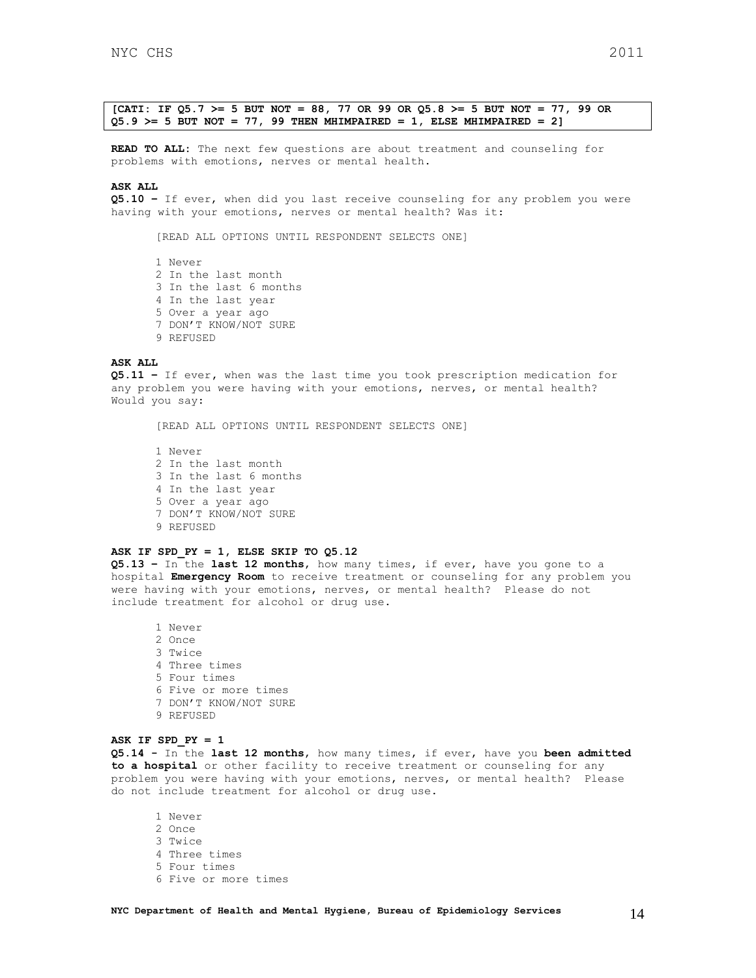**[CATI: IF Q5.7 >= 5 BUT NOT = 88, 77 OR 99 OR Q5.8 >= 5 BUT NOT = 77, 99 OR Q5.9 >= 5 BUT NOT = 77, 99 THEN MHIMPAIRED = 1, ELSE MHIMPAIRED = 2]**

**READ TO ALL:** The next few questions are about treatment and counseling for problems with emotions, nerves or mental health.

#### **ASK ALL**

**Q5.10 –** If ever, when did you last receive counseling for any problem you were having with your emotions, nerves or mental health? Was it:

[READ ALL OPTIONS UNTIL RESPONDENT SELECTS ONE]

1 Never 2 In the last month 3 In the last 6 months 4 In the last year 5 Over a year ago 7 DON'T KNOW/NOT SURE 9 REFUSED

#### **ASK ALL**

**Q5.11 –** If ever**,** when was the last time you took prescription medication for any problem you were having with your emotions, nerves, or mental health? Would you say:

[READ ALL OPTIONS UNTIL RESPONDENT SELECTS ONE]

1 Never 2 In the last month 3 In the last 6 months 4 In the last year 5 Over a year ago 7 DON'T KNOW/NOT SURE 9 REFUSED

### **ASK IF SPD\_PY = 1, ELSE SKIP TO Q5.12**

**Q5.13 –** In the **last 12 months**, how many times, if ever, have you gone to a hospital **Emergency Room** to receive treatment or counseling for any problem you were having with your emotions, nerves, or mental health? Please do not include treatment for alcohol or drug use.

1 Never 2 Once 3 Twice 4 Three times 5 Four times 6 Five or more times 7 DON'T KNOW/NOT SURE 9 REFUSED

### **ASK IF SPD\_PY = 1**

**Q5.14 -** In the **last 12 months**, how many times, if ever, have you **been admitted to a hospital** or other facility to receive treatment or counseling for any problem you were having with your emotions, nerves, or mental health? Please do not include treatment for alcohol or drug use.

1 Never 2 Once 3 Twice 4 Three times 5 Four times 6 Five or more times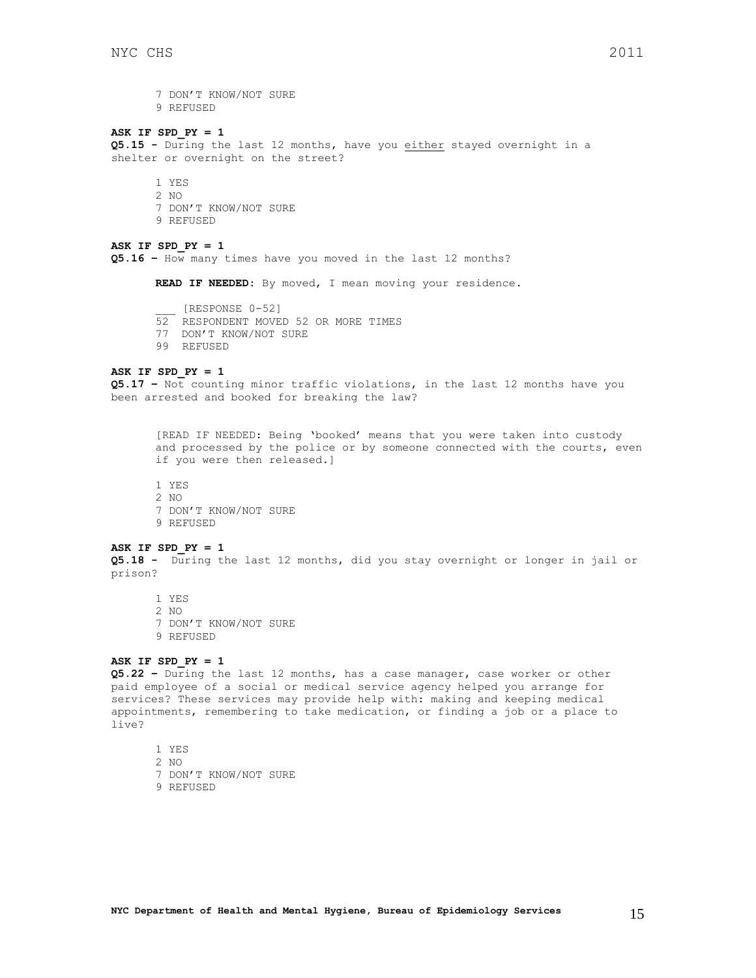7 DON'T KNOW/NOT SURE 9 REFUSED

### **ASK IF SPD\_PY = 1**

**Q5.15 -** During the last 12 months, have you either stayed overnight in a shelter or overnight on the street?

- 1 YES
- 2 NO
- 7 DON'T KNOW/NOT SURE
- 9 REFUSED

### **ASK IF SPD\_PY = 1**

**Q5.16 –** How many times have you moved in the last 12 months?

**READ IF NEEDED:** By moved, I mean moving your residence.

- \_\_\_ [RESPONSE 0-52]
- 52 RESPONDENT MOVED 52 OR MORE TIMES
- 77 DON'T KNOW/NOT SURE
- 99 REFUSED

#### **ASK IF SPD\_PY = 1**

**Q5.17 –** Not counting minor traffic violations, in the last 12 months have you been arrested and booked for breaking the law?

[READ IF NEEDED: Being 'booked' means that you were taken into custody and processed by the police or by someone connected with the courts, even if you were then released.]

- 1 YES
- 2 NO
- 7 DON'T KNOW/NOT SURE
- 9 REFUSED

#### **ASK IF SPD\_PY = 1**

**Q5.18 -** During the last 12 months, did you stay overnight or longer in jail or prison?

1 YES

- 2 NO
- 7 DON'T KNOW/NOT SURE
- 9 REFUSED

#### **ASK IF SPD\_PY = 1**

**Q5.22 –** During the last 12 months, has a case manager, case worker or other paid employee of a social or medical service agency helped you arrange for services? These services may provide help with: making and keeping medical appointments, remembering to take medication, or finding a job or a place to live?

- 1 YES
- 2 NO
- 7 DON'T KNOW/NOT SURE
- 9 REFUSED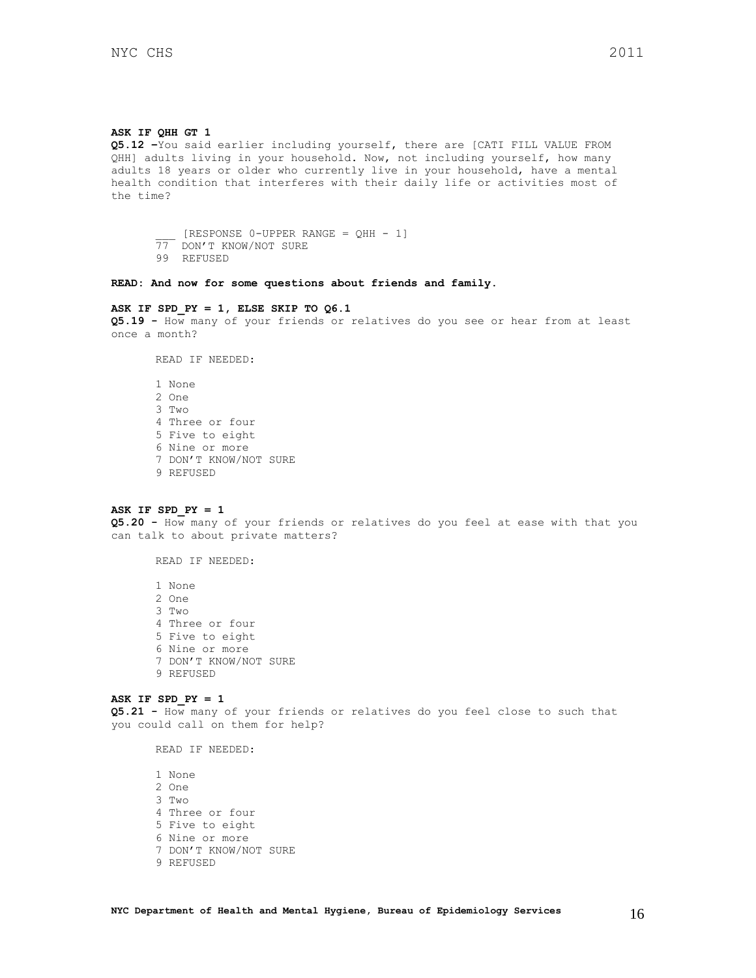#### **ASK IF QHH GT 1**

**Q5.12 –**You said earlier including yourself, there are [CATI FILL VALUE FROM QHH] adults living in your household. Now, not including yourself, how many adults 18 years or older who currently live in your household, have a mental health condition that interferes with their daily life or activities most of the time?

 $[RESPONSE 0-UPPER RANGE = QHH - 1]$ 77 DON'T KNOW/NOT SURE 99 REFUSED

**READ: And now for some questions about friends and family.**

#### **ASK IF SPD\_PY = 1, ELSE SKIP TO Q6.1**

**Q5.19 -** How many of your friends or relatives do you see or hear from at least once a month?

READ IF NEEDED:

1 None 2 One 3 Two 4 Three or four 5 Five to eight 6 Nine or more 7 DON'T KNOW/NOT SURE 9 REFUSED

### **ASK IF SPD\_PY = 1**

**Q5.20 -** How many of your friends or relatives do you feel at ease with that you can talk to about private matters?

READ IF NEEDED:

1 None 2 One 3 Two 4 Three or four 5 Five to eight 6 Nine or more 7 DON'T KNOW/NOT SURE 9 REFUSED

### **ASK IF SPD\_PY = 1**

**Q5.21 -** How many of your friends or relatives do you feel close to such that you could call on them for help?

READ IF NEEDED:

1 None 2 One 3 Two 4 Three or four 5 Five to eight 6 Nine or more 7 DON'T KNOW/NOT SURE 9 REFUSED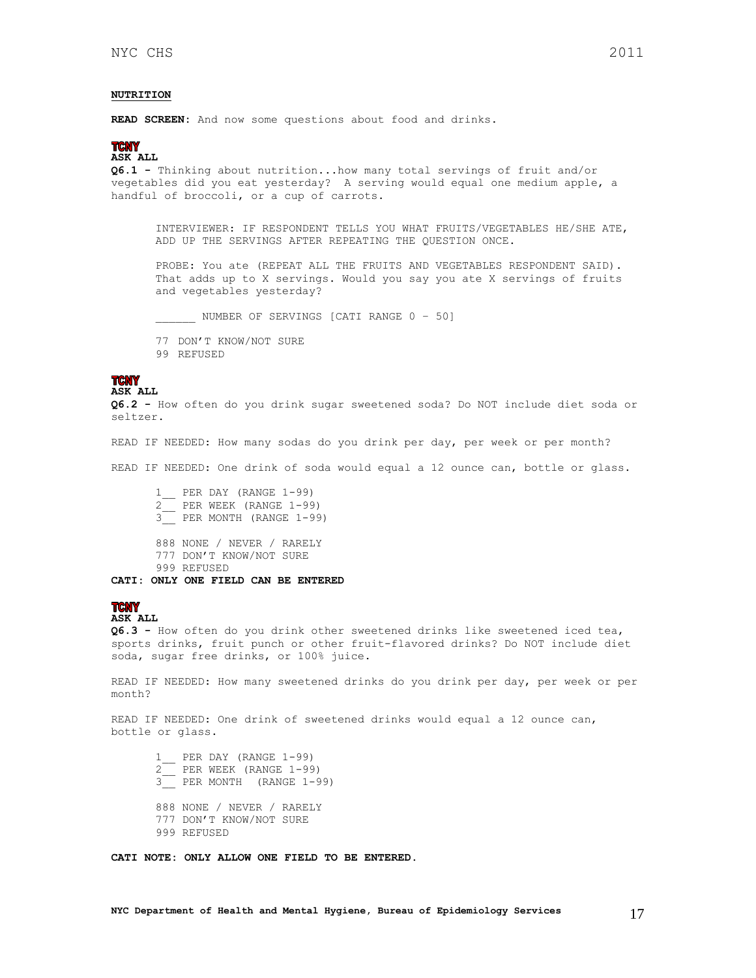### <span id="page-16-0"></span>**NUTRITION**

**READ SCREEN:** And now some questions about food and drinks.

### **TCNY**

**ASK ALL Q6.1 -** Thinking about nutrition...how many total servings of fruit and/or

vegetables did you eat yesterday? A serving would equal one medium apple, a handful of broccoli, or a cup of carrots.

INTERVIEWER: IF RESPONDENT TELLS YOU WHAT FRUITS/VEGETABLES HE/SHE ATE, ADD UP THE SERVINGS AFTER REPEATING THE QUESTION ONCE.

PROBE: You ate (REPEAT ALL THE FRUITS AND VEGETABLES RESPONDENT SAID). That adds up to X servings. Would you say you ate X servings of fruits and vegetables yesterday?

\_\_\_\_\_\_ NUMBER OF SERVINGS [CATI RANGE 0 – 50]

77 DON'T KNOW/NOT SURE 99 REFUSED

#### **TCNY ASK ALL**

**Q6.2 -** How often do you drink sugar sweetened soda? Do NOT include diet soda or seltzer.

READ IF NEEDED: How many sodas do you drink per day, per week or per month?

READ IF NEEDED: One drink of soda would equal a 12 ounce can, bottle or glass.

1\_\_ PER DAY (RANGE 1-99) 2\_\_ PER WEEK (RANGE 1-99) 3\_\_ PER MONTH (RANGE 1-99) 888 NONE / NEVER / RARELY 777 DON'T KNOW/NOT SURE 999 REFUSED **CATI: ONLY ONE FIELD CAN BE ENTERED**

#### **TCNY ASK ALL**

**Q6.3 -** How often do you drink other sweetened drinks like sweetened iced tea, sports drinks, fruit punch or other fruit-flavored drinks? Do NOT include diet soda, sugar free drinks, or 100% juice.

READ IF NEEDED: How many sweetened drinks do you drink per day, per week or per month?

READ IF NEEDED: One drink of sweetened drinks would equal a 12 ounce can, bottle or glass.

1\_\_ PER DAY (RANGE 1-99) 2\_\_ PER WEEK (RANGE 1-99) 3\_\_ PER MONTH (RANGE 1-99) 888 NONE / NEVER / RARELY 777 DON'T KNOW/NOT SURE 999 REFUSED

**CATI NOTE: ONLY ALLOW ONE FIELD TO BE ENTERED.**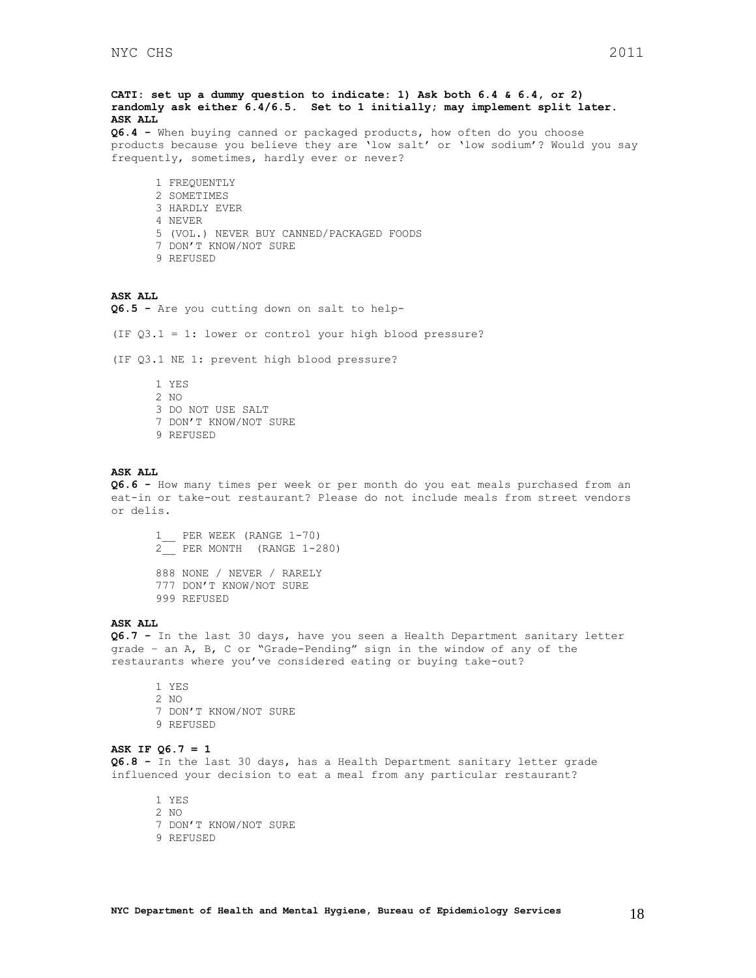**CATI: set up a dummy question to indicate: 1) Ask both 6.4 & 6.4, or 2) randomly ask either 6.4/6.5. Set to 1 initially; may implement split later. ASK ALL**

**Q6.4 -** When buying canned or packaged products, how often do you choose products because you believe they are 'low salt' or 'low sodium'? Would you say frequently, sometimes, hardly ever or never?

- 1 FREQUENTLY
- 2 SOMETIMES
- 3 HARDLY EVER
- 4 NEVER
- 5 (VOL.) NEVER BUY CANNED/PACKAGED FOODS
- 7 DON'T KNOW/NOT SURE
- 9 REFUSED

#### **ASK ALL**

**Q6.5 -** Are you cutting down on salt to help-

(IF Q3.1 = 1: lower or control your high blood pressure?

(IF Q3.1 NE 1: prevent high blood pressure?

1 YES 2 NO 3 DO NOT USE SALT 7 DON'T KNOW/NOT SURE 9 REFUSED

#### **ASK ALL**

**Q6.6 -** How many times per week or per month do you eat meals purchased from an eat-in or take-out restaurant? Please do not include meals from street vendors or delis.

1\_\_ PER WEEK (RANGE 1-70) 2\_\_ PER MONTH (RANGE 1-280)

888 NONE / NEVER / RARELY 777 DON'T KNOW/NOT SURE 999 REFUSED

### **ASK ALL**

**Q6.7 -** In the last 30 days, have you seen a Health Department sanitary letter grade – an A, B, C or "Grade-Pending" sign in the window of any of the restaurants where you've considered eating or buying take-out?

1 YES 2 NO 7 DON'T KNOW/NOT SURE 9 REFUSED

#### **ASK IF Q6.7 = 1**

**Q6.8 -** In the last 30 days, has a Health Department sanitary letter grade influenced your decision to eat a meal from any particular restaurant?

1 YES 2 NO 7 DON'T KNOW/NOT SURE 9 REFUSED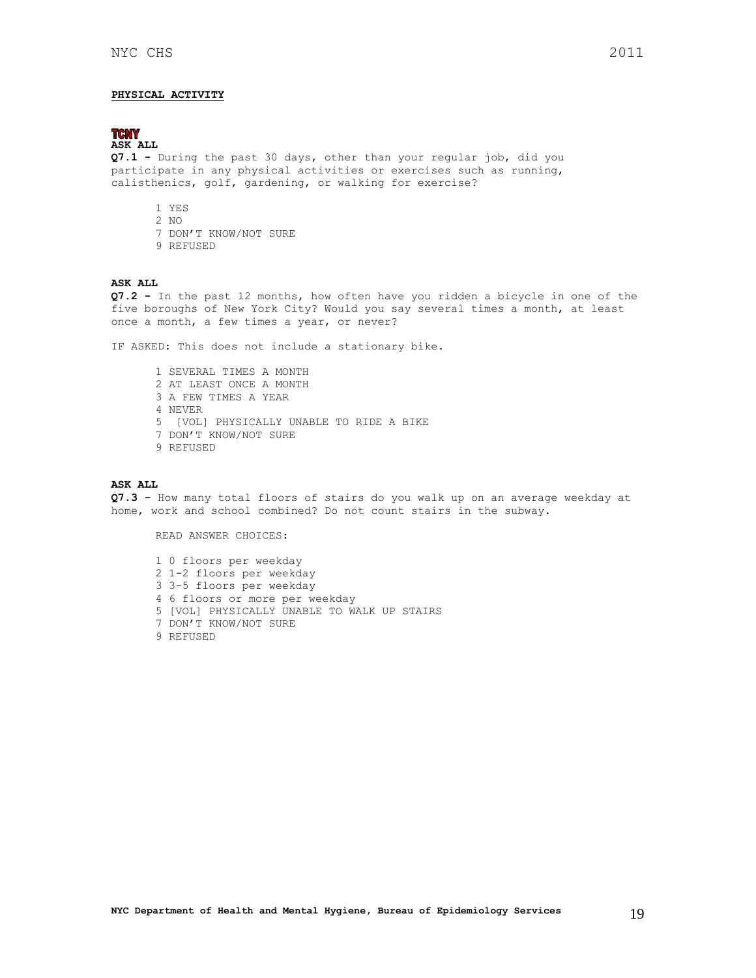### <span id="page-18-0"></span>**PHYSICAL ACTIVITY**

#### **TCNY ASK ALL**

**Q7.1 -** During the past 30 days, other than your regular job, did you participate in any physical activities or exercises such as running, calisthenics, golf, gardening, or walking for exercise?

- 1 YES
- 2 NO
- 7 DON'T KNOW/NOT SURE
- 9 REFUSED

### **ASK ALL**

**Q7.2 -** In the past 12 months, how often have you ridden a bicycle in one of the five boroughs of New York City? Would you say several times a month, at least once a month, a few times a year, or never?

IF ASKED: This does not include a stationary bike.

1 SEVERAL TIMES A MONTH 2 AT LEAST ONCE A MONTH 3 A FEW TIMES A YEAR 4 NEVER 5 [VOL] PHYSICALLY UNABLE TO RIDE A BIKE 7 DON'T KNOW/NOT SURE 9 REFUSED

#### **ASK ALL**

**Q7.3 -** How many total floors of stairs do you walk up on an average weekday at home, work and school combined? Do not count stairs in the subway.

READ ANSWER CHOICES:

1 0 floors per weekday 2 1-2 floors per weekday 3 3-5 floors per weekday 4 6 floors or more per weekday 5 [VOL] PHYSICALLY UNABLE TO WALK UP STAIRS 7 DON'T KNOW/NOT SURE 9 REFUSED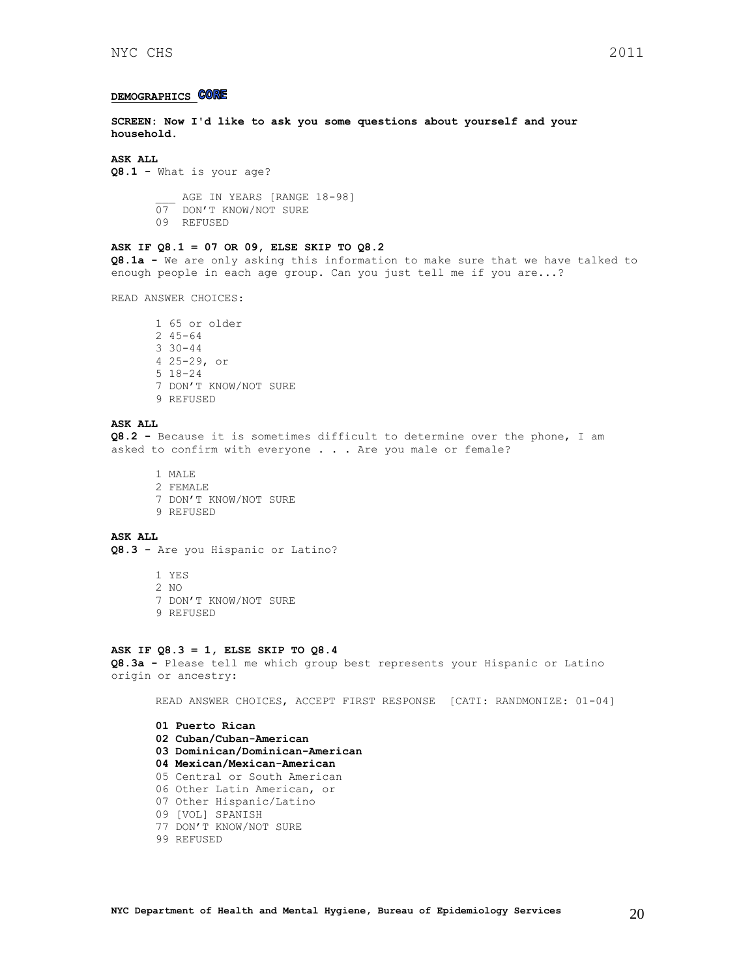### <span id="page-19-0"></span>**DEMOGRAPHICS CORE**

**SCREEN: Now I'd like to ask you some questions about yourself and your household.**

#### **ASK ALL**

**Q8.1 -** What is your age?

AGE IN YEARS [RANGE 18-98] 07 DON'T KNOW/NOT SURE 09 REFUSED

#### **ASK IF Q8.1 = 07 OR 09, ELSE SKIP TO Q8.2**

**Q8.1a -** We are only asking this information to make sure that we have talked to enough people in each age group. Can you just tell me if you are...?

READ ANSWER CHOICES:

1 65 or older 2 45-64 3 30-44 4 25-29, or 5 18-24 7 DON'T KNOW/NOT SURE 9 REFUSED

#### **ASK ALL**

**Q8.2 -** Because it is sometimes difficult to determine over the phone, I am asked to confirm with everyone . . . Are you male or female?

1 MALE 2 FEMALE 7 DON'T KNOW/NOT SURE 9 REFUSED

#### **ASK ALL**

**Q8.3 -** Are you Hispanic or Latino?

- 1 YES 2 NO
- 7 DON'T KNOW/NOT SURE
- 9 REFUSED

### **ASK IF Q8.3 = 1, ELSE SKIP TO Q8.4**

**Q8.3a -** Please tell me which group best represents your Hispanic or Latino origin or ancestry:

READ ANSWER CHOICES, ACCEPT FIRST RESPONSE [CATI: RANDMONIZE: 01-04]

- **01 Puerto Rican 02 Cuban/Cuban-American 03 Dominican/Dominican-American 04 Mexican/Mexican-American**  05 Central or South American 06 Other Latin American, or 07 Other Hispanic/Latino 09 [VOL] SPANISH 77 DON'T KNOW/NOT SURE
- 99 REFUSED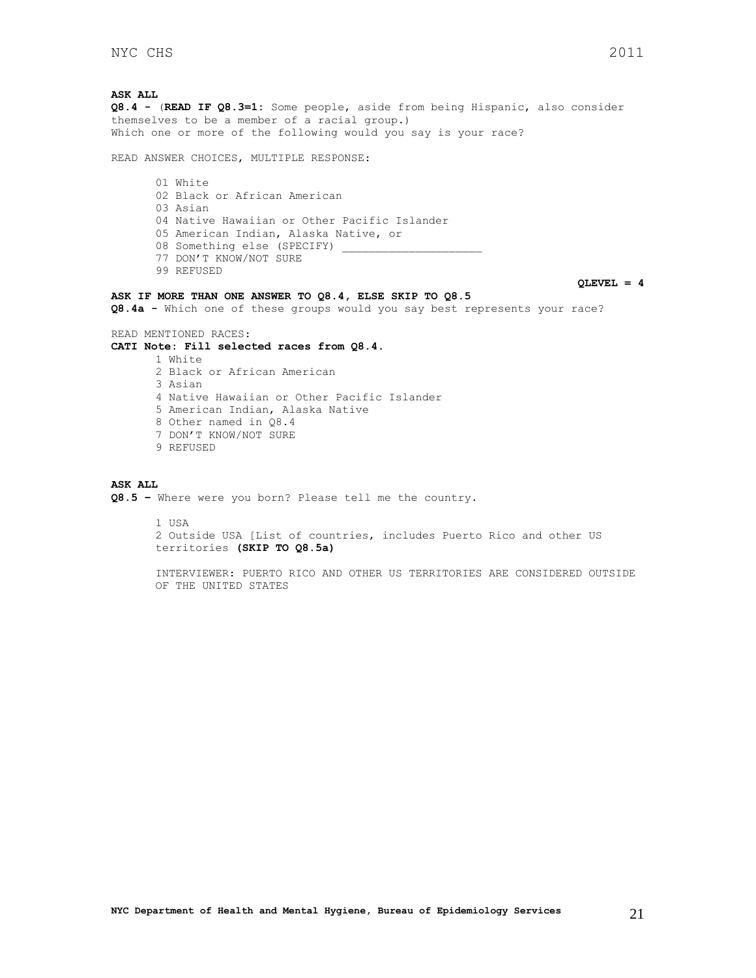**ASK ALL Q8.4 -** (**READ IF Q8.3=1:** Some people, aside from being Hispanic, also consider themselves to be a member of a racial group.) Which one or more of the following would you say is your race? READ ANSWER CHOICES, MULTIPLE RESPONSE: 01 White 02 Black or African American 03 Asian 04 Native Hawaiian or Other Pacific Islander 05 American Indian, Alaska Native, or 08 Something else (SPECIFY) 77 DON'T KNOW/NOT SURE 99 REFUSED **QLEVEL = 4 ASK IF MORE THAN ONE ANSWER TO Q8.4, ELSE SKIP TO Q8.5 Q8.4a -** Which one of these groups would you say best represents your race? READ MENTIONED RACES: **CATI Note: Fill selected races from Q8.4.** 1 White 2 Black or African American 3 Asian 4 Native Hawaiian or Other Pacific Islander 5 American Indian, Alaska Native 8 Other named in Q8.4 7 DON'T KNOW/NOT SURE 9 REFUSED **ASK ALL Q8.5 –** Where were you born? Please tell me the country.

 $1$   $IISA$ 2 Outside USA [List of countries, includes Puerto Rico and other US territories **(SKIP TO Q8.5a)**

INTERVIEWER: PUERTO RICO AND OTHER US TERRITORIES ARE CONSIDERED OUTSIDE OF THE UNITED STATES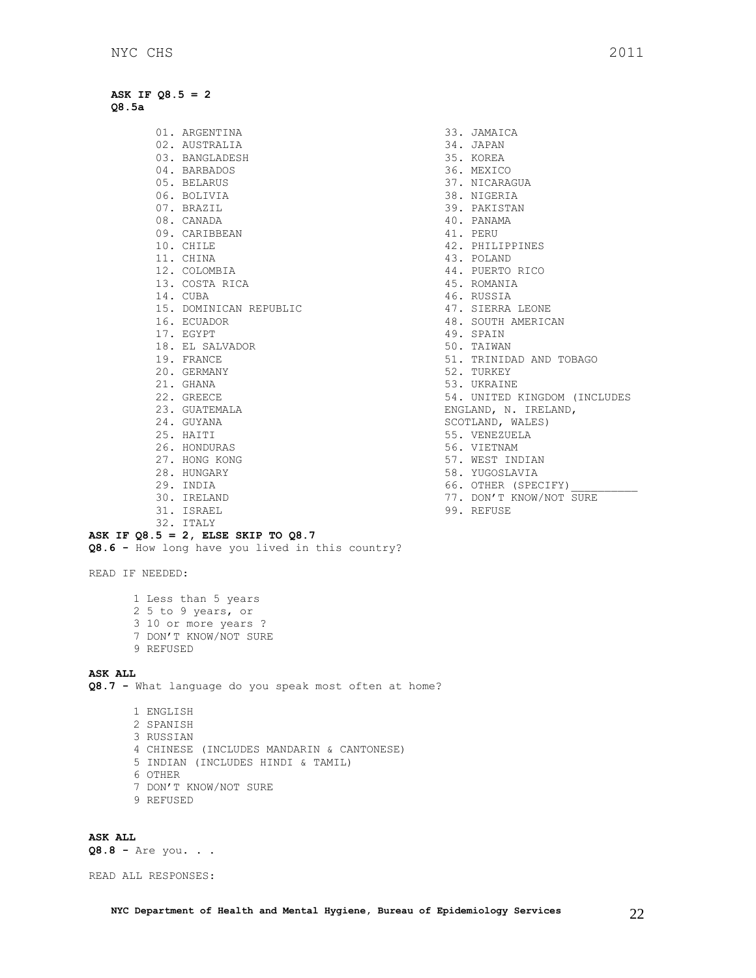**ASK IF Q8.5 = 2 Q8.5a**

> 01. ARGENTINA 02. AUSTRALIA 03. BANGLADESH 04. BARBADOS 05. BELARUS 06. BOLIVIA 07. BRAZIL 08. CANADA 09. CARIBBEAN 10. CHILE 11. CHINA 12. COLOMBIA 13. COSTA RICA 14. CUBA 15. DOMINICAN REPUBLIC 16. ECUADOR 17. EGYPT 18. EL SALVADOR 19. FRANCE 20. GERMANY 21. GHANA 22. GREECE 23. GUATEMALA 24. GUYANA 25. HAITI 26. HONDURAS 27. HONG KONG 28. HUNGARY 29. INDIA 30. IRELAND 31. ISRAEL

- 33. JAMAICA 34. JAPAN 35. KOREA 36. MEXICO 37. NICARAGUA 38. NIGERIA 39. PAKISTAN 40. PANAMA 41. PERU 42. PHILIPPINES 43. POLAND 44. PUERTO RICO 45. ROMANIA 46. RUSSIA 47. SIERRA LEONE 48. SOUTH AMERICAN 49. SPAIN 50. TAIWAN 51. TRINIDAD AND TOBAGO 52. TURKEY 53. UKRAINE 54. UNITED KINGDOM (INCLUDES ENGLAND, N. IRELAND, SCOTLAND, WALES) 55. VENEZUELA 56. VIETNAM 57. WEST INDIAN 58. YUGOSLAVIA 66. OTHER (SPECIFY)
- 77. DON'T KNOW/NOT SURE
- 99. REFUSE

READ IF NEEDED:

1 Less than 5 years 2 5 to 9 years, or 3 10 or more years ? 7 DON'T KNOW/NOT SURE 9 REFUSED

**ASK IF Q8.5 = 2, ELSE SKIP TO Q8.7**

**Q8.6 -** How long have you lived in this country?

32. ITALY

### **ASK ALL**

**Q8.7 -** What language do you speak most often at home?

1 ENGLISH 2 SPANISH 3 RUSSIAN 4 CHINESE (INCLUDES MANDARIN & CANTONESE) 5 INDIAN (INCLUDES HINDI & TAMIL) 6 OTHER 7 DON'T KNOW/NOT SURE 9 REFUSED

### **ASK ALL**

**Q8.8 -** Are you. . .

READ ALL RESPONSES: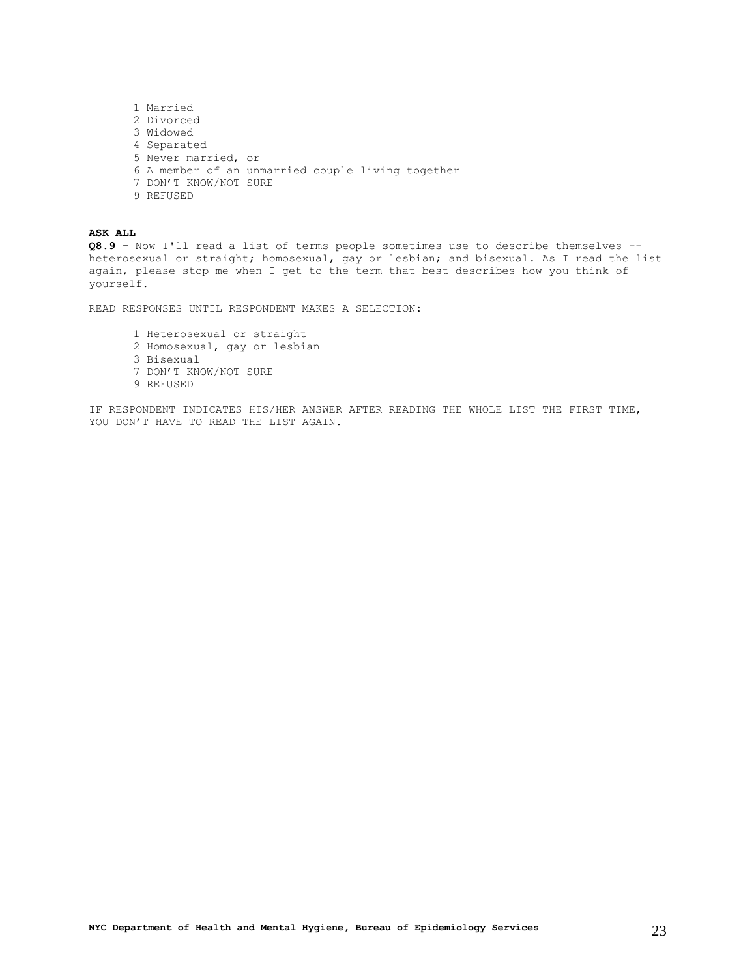1 Married 2 Divorced 3 Widowed 4 Separated 5 Never married, or 6 A member of an unmarried couple living together 7 DON'T KNOW/NOT SURE 9 REFUSED

**ASK ALL Q8.9 -** Now I'll read a list of terms people sometimes use to describe themselves - heterosexual or straight; homosexual, gay or lesbian; and bisexual. As I read the list again, please stop me when I get to the term that best describes how you think of yourself.

READ RESPONSES UNTIL RESPONDENT MAKES A SELECTION:

1 Heterosexual or straight 2 Homosexual, gay or lesbian 3 Bisexual 7 DON'T KNOW/NOT SURE 9 REFUSED

IF RESPONDENT INDICATES HIS/HER ANSWER AFTER READING THE WHOLE LIST THE FIRST TIME, YOU DON'T HAVE TO READ THE LIST AGAIN.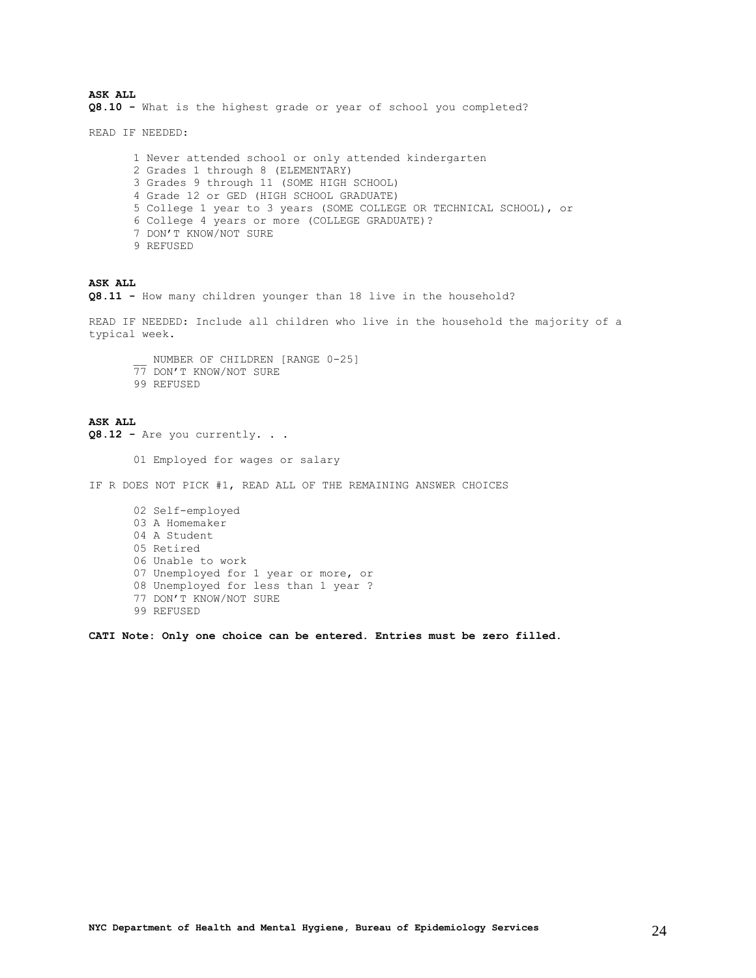**ASK ALL Q8.10 -** What is the highest grade or year of school you completed?

READ IF NEEDED:

1 Never attended school or only attended kindergarten 2 Grades 1 through 8 (ELEMENTARY) 3 Grades 9 through 11 (SOME HIGH SCHOOL) 4 Grade 12 or GED (HIGH SCHOOL GRADUATE) 5 College 1 year to 3 years (SOME COLLEGE OR TECHNICAL SCHOOL), or 6 College 4 years or more (COLLEGE GRADUATE)? 7 DON'T KNOW/NOT SURE 9 REFUSED

### **ASK ALL**

**Q8.11 -** How many children younger than 18 live in the household?

READ IF NEEDED: Include all children who live in the household the majority of a typical week.

\_\_ NUMBER OF CHILDREN [RANGE 0-25] 77 DON'T KNOW/NOT SURE 99 REFUSED

**ASK ALL Q8.12 -** Are you currently. . . 01 Employed for wages or salary IF R DOES NOT PICK #1, READ ALL OF THE REMAINING ANSWER CHOICES 02 Self-employed 03 A Homemaker 04 A Student 05 Retired 06 Unable to work 07 Unemployed for 1 year or more, or 08 Unemployed for less than 1 year ? 77 DON'T KNOW/NOT SURE 99 REFUSED

**CATI Note: Only one choice can be entered. Entries must be zero filled.**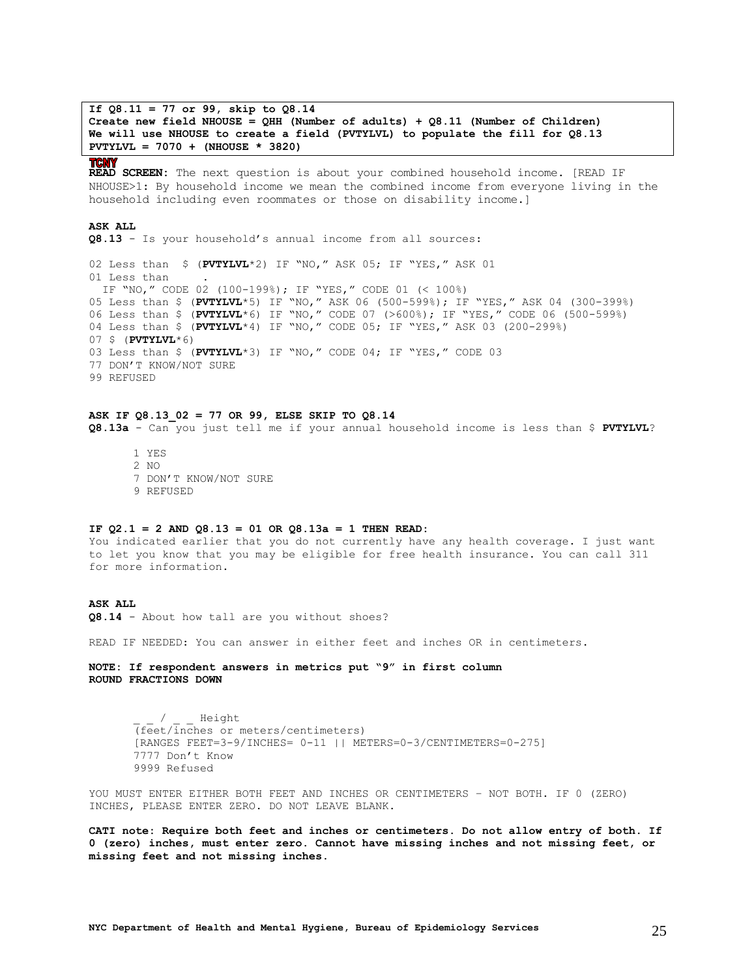**If Q8.11 = 77 or 99, skip to Q8.14 Create new field NHOUSE = QHH (Number of adults) + Q8.11 (Number of Children) We will use NHOUSE to create a field (PVTYLVL) to populate the fill for Q8.13 PVTYLVL = 7070 + (NHOUSE \* 3820)**

### **TCNY**

**READ SCREEN:** The next question is about your combined household income. [READ IF NHOUSE>1: By household income we mean the combined income from everyone living in the household including even roommates or those on disability income.]

### **ASK ALL**

**Q8.13** - Is your household's annual income from all sources:

02 Less than \$ (**PVTYLVL**\*2) IF "NO," ASK 05; IF "YES," ASK 01 01 Less than IF "NO," CODE 02 (100-199%); IF "YES," CODE 01 (< 100%) 05 Less than \$ (**PVTYLVL**\*5) IF "NO," ASK 06 (500-599%); IF "YES," ASK 04 (300-399%) 06 Less than \$ (**PVTYLVL**\*6) IF "NO," CODE 07 (>600%); IF "YES," CODE 06 (500-599%) 04 Less than \$ (**PVTYLVL**\*4) IF "NO," CODE 05; IF "YES," ASK 03 (200-299%) 07 \$ (**PVTYLVL**\*6) 03 Less than \$ (**PVTYLVL**\*3) IF "NO," CODE 04; IF "YES," CODE 03 77 DON'T KNOW/NOT SURE 99 REFUSED

### **ASK IF Q8.13\_02 = 77 OR 99, ELSE SKIP TO Q8.14 Q8.13a** - Can you just tell me if your annual household income is less than \$ **PVTYLVL**?

1 YES 2 NO 7 DON'T KNOW/NOT SURE 9 REFUSED

#### **IF Q2.1 = 2 AND Q8.13 = 01 OR Q8.13a = 1 THEN READ:**

You indicated earlier that you do not currently have any health coverage. I just want to let you know that you may be eligible for free health insurance. You can call 311 for more information.

### **ASK ALL**

**Q8.14** - About how tall are you without shoes?

READ IF NEEDED: You can answer in either feet and inches OR in centimeters.

**NOTE: If respondent answers in metrics put "9" in first column ROUND FRACTIONS DOWN**

> / Height (feet/inches or meters/centimeters) [RANGES FEET=3-9/INCHES= 0-11 || METERS=0-3/CENTIMETERS=0-275] 7777 Don't Know 9999 Refused

YOU MUST ENTER EITHER BOTH FEET AND INCHES OR CENTIMETERS – NOT BOTH. IF 0 (ZERO) INCHES, PLEASE ENTER ZERO. DO NOT LEAVE BLANK.

**CATI note: Require both feet and inches or centimeters. Do not allow entry of both. If 0 (zero) inches, must enter zero. Cannot have missing inches and not missing feet, or missing feet and not missing inches.**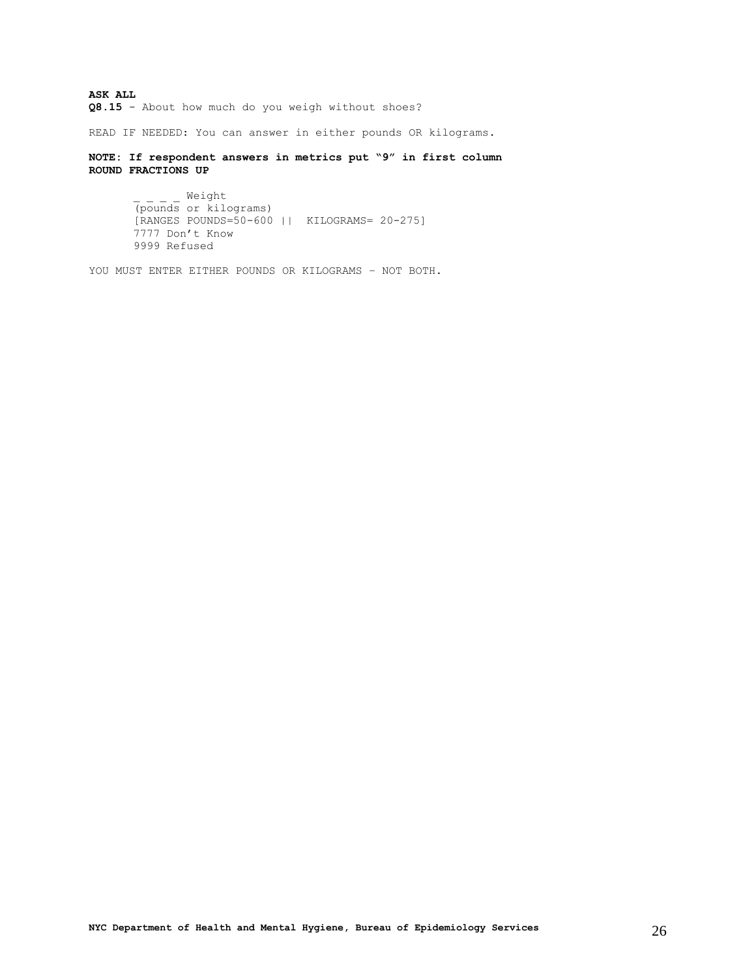**ASK ALL Q8.15** - About how much do you weigh without shoes?

READ IF NEEDED: You can answer in either pounds OR kilograms.

**NOTE: If respondent answers in metrics put "9" in first column ROUND FRACTIONS UP**

```
Weight
(pounds or kilograms)
[RANGES POUNDS=50-600 || KILOGRAMS= 20-275]
7777 Don't Know
9999 Refused
```
YOU MUST ENTER EITHER POUNDS OR KILOGRAMS – NOT BOTH.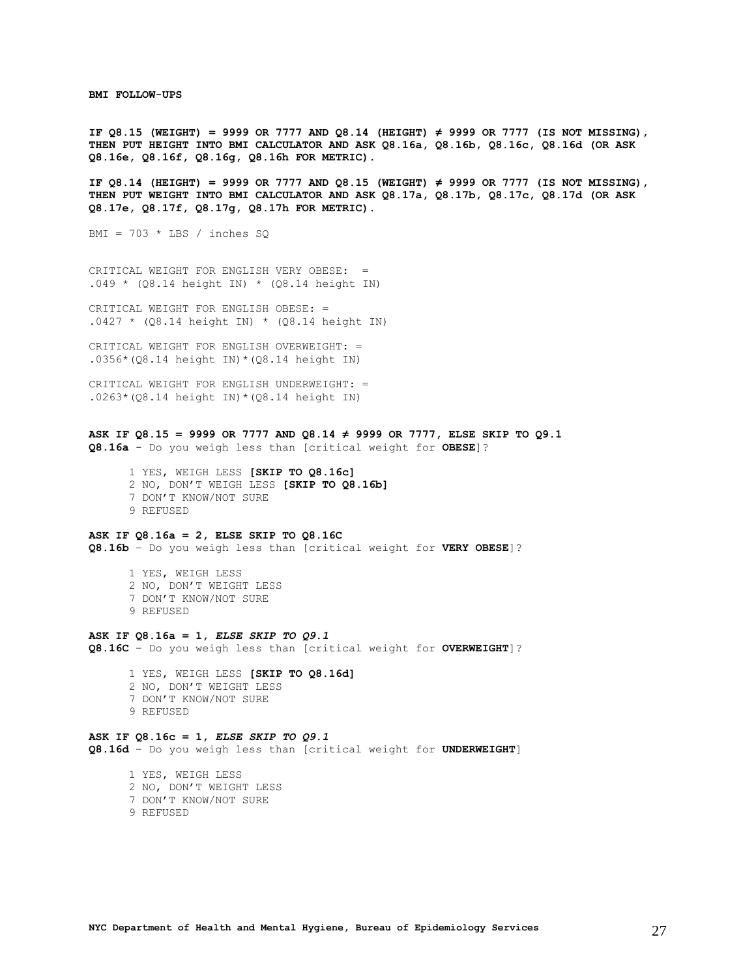<span id="page-26-0"></span>**BMI FOLLOW-UPS**

**IF Q8.15 (WEIGHT) = 9999 OR 7777 AND Q8.14 (HEIGHT) ≠ 9999 OR 7777 (IS NOT MISSING), THEN PUT HEIGHT INTO BMI CALCULATOR AND ASK Q8.16a, Q8.16b, Q8.16c, Q8.16d (OR ASK Q8.16e, Q8.16f, Q8.16g, Q8.16h FOR METRIC).**

**IF Q8.14 (HEIGHT) = 9999 OR 7777 AND Q8.15 (WEIGHT) ≠ 9999 OR 7777 (IS NOT MISSING), THEN PUT WEIGHT INTO BMI CALCULATOR AND ASK Q8.17a, Q8.17b, Q8.17c, Q8.17d (OR ASK Q8.17e, Q8.17f, Q8.17g, Q8.17h FOR METRIC).**

BMI =  $703 * LBS / inches SQ$ 

CRITICAL WEIGHT FOR ENGLISH VERY OBESE: =  $.049 * (Q8.14 height IN) * (Q8.14 height IN)$ 

CRITICAL WEIGHT FOR ENGLISH OBESE: =  $.0427 * (Q8.14 height IN) * (Q8.14 height IN)$ 

CRITICAL WEIGHT FOR ENGLISH OVERWEIGHT: = .0356\*(Q8.14 height IN)\*(Q8.14 height IN)

CRITICAL WEIGHT FOR ENGLISH UNDERWEIGHT: =  $.0263*(08.14 \text{ height} \text{IN})*(08.14 \text{ height} \text{IN})$ 

### **ASK IF Q8.15 = 9999 OR 7777 AND Q8.14 ≠ 9999 OR 7777, ELSE SKIP TO Q9.1**

**Q8.16a** - Do you weigh less than [critical weight for **OBESE**]?

- 1 YES, WEIGH LESS **[SKIP TO Q8.16c]** 2 NO, DON'T WEIGH LESS **[SKIP TO Q8.16b]** 7 DON'T KNOW/NOT SURE
- 9 REFUSED

### **ASK IF Q8.16a = 2, ELSE SKIP TO Q8.16C**

**Q8.16b** – Do you weigh less than [critical weight for **VERY OBESE**]?

- 1 YES, WEIGH LESS
- 2 NO, DON'T WEIGHT LESS
- 7 DON'T KNOW/NOT SURE
- 9 REFUSED

#### **ASK IF Q8.16a = 1,** *ELSE SKIP TO Q9.1*

**Q8.16C** – Do you weigh less than [critical weight for **OVERWEIGHT**]?

 1 YES, WEIGH LESS **[SKIP TO Q8.16d]** 2 NO, DON'T WEIGHT LESS 7 DON'T KNOW/NOT SURE 9 REFUSED

#### **ASK IF Q8.16c = 1,** *ELSE SKIP TO Q9.1*

**Q8.16d** – Do you weigh less than [critical weight for **UNDERWEIGHT**]

 1 YES, WEIGH LESS 2 NO, DON'T WEIGHT LESS 7 DON'T KNOW/NOT SURE

9 REFUSED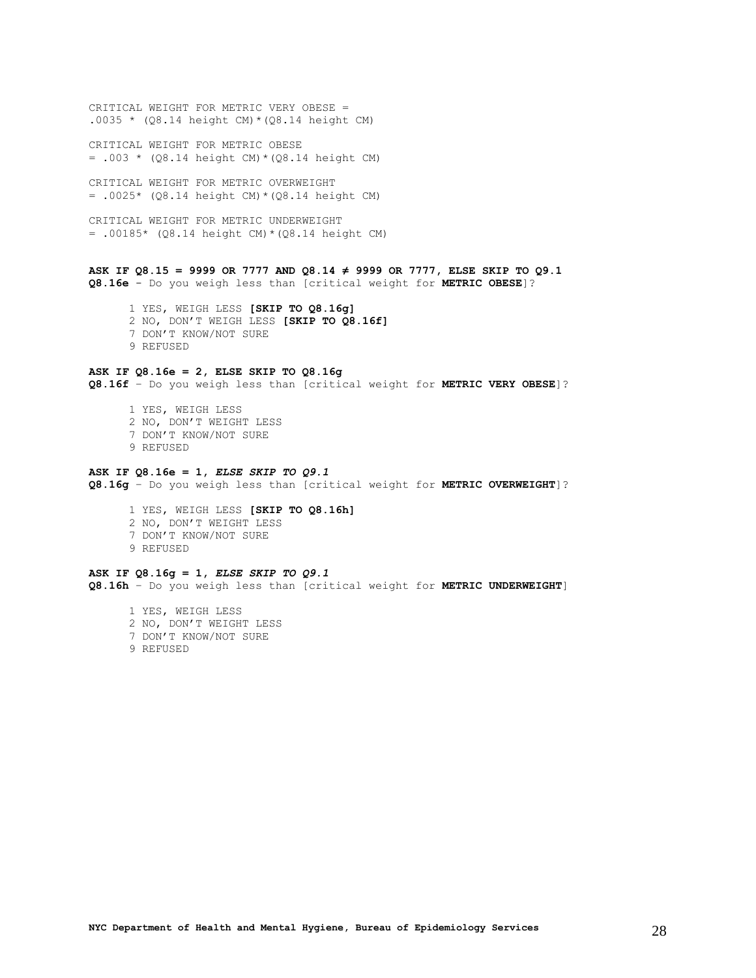CRITICAL WEIGHT FOR METRIC VERY OBESE = .0035 \*  $(Q8.14 \text{ height CM}) * (Q8.14 \text{ height CM})$ 

CRITICAL WEIGHT FOR METRIC OBESE  $= .003 * (Q8.14 height CM) * (Q8.14 height CM)$ 

CRITICAL WEIGHT FOR METRIC OVERWEIGHT  $= .0025*$  (Q8.14 height CM) \* (Q8.14 height CM)

CRITICAL WEIGHT FOR METRIC UNDERWEIGHT = .00185\* (Q8.14 height CM)\*(Q8.14 height CM)

### **ASK IF Q8.15 = 9999 OR 7777 AND Q8.14 ≠ 9999 OR 7777, ELSE SKIP TO Q9.1**

**Q8.16e** - Do you weigh less than [critical weight for **METRIC OBESE**]?

- 1 YES, WEIGH LESS **[SKIP TO Q8.16g]**
- 2 NO, DON'T WEIGH LESS **[SKIP TO Q8.16f]**
- 7 DON'T KNOW/NOT SURE
- 9 REFUSED

### **ASK IF Q8.16e = 2, ELSE SKIP TO Q8.16g**

**Q8.16f** – Do you weigh less than [critical weight for **METRIC VERY OBESE**]?

- 1 YES, WEIGH LESS 2 NO, DON'T WEIGHT LESS 7 DON'T KNOW/NOT SURE 9 REFUSED
- 

#### **ASK IF Q8.16e = 1,** *ELSE SKIP TO Q9.1*

**Q8.16g** – Do you weigh less than [critical weight for **METRIC OVERWEIGHT**]?

 1 YES, WEIGH LESS **[SKIP TO Q8.16h]** 2 NO, DON'T WEIGHT LESS 7 DON'T KNOW/NOT SURE 9 REFUSED

### **ASK IF Q8.16g = 1,** *ELSE SKIP TO Q9.1*

**Q8.16h** – Do you weigh less than [critical weight for **METRIC UNDERWEIGHT**]

 1 YES, WEIGH LESS 2 NO, DON'T WEIGHT LESS 7 DON'T KNOW/NOT SURE

9 REFUSED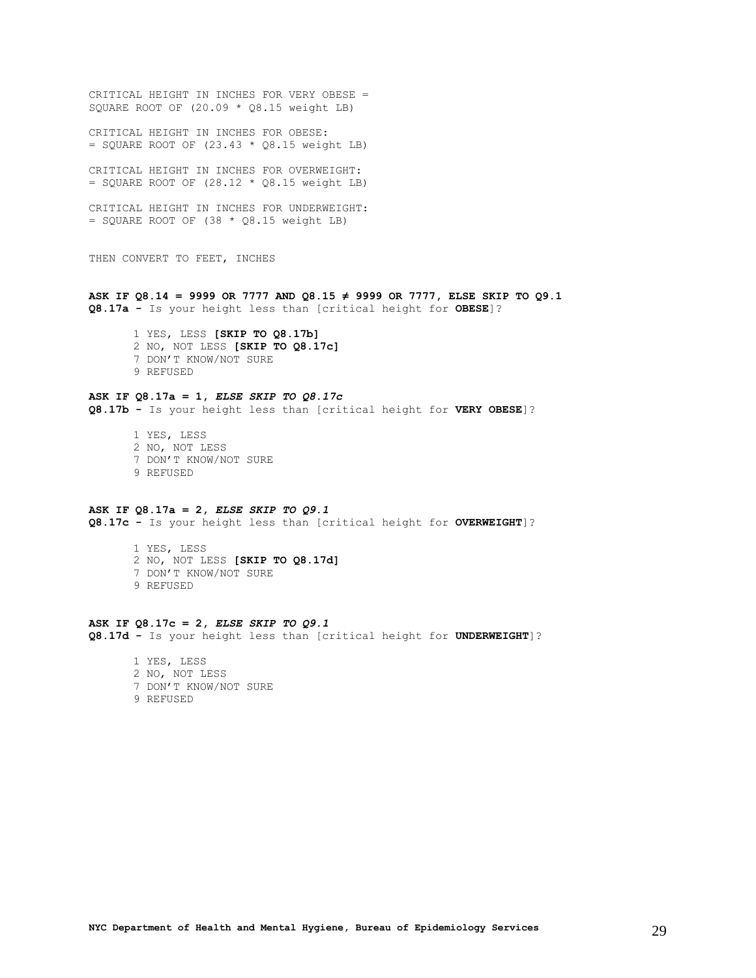CRITICAL HEIGHT IN INCHES FOR VERY OBESE = SQUARE ROOT OF (20.09 \* Q8.15 weight LB) CRITICAL HEIGHT IN INCHES FOR OBESE:  $=$  SQUARE ROOT OF (23.43  $*$  Q8.15 weight LB) CRITICAL HEIGHT IN INCHES FOR OVERWEIGHT:  $=$  SQUARE ROOT OF (28.12  $*$  Q8.15 weight LB) CRITICAL HEIGHT IN INCHES FOR UNDERWEIGHT:  $=$  SQUARE ROOT OF (38  $*$  Q8.15 weight LB) THEN CONVERT TO FEET, INCHES **ASK IF Q8.14 = 9999 OR 7777 AND Q8.15 ≠ 9999 OR 7777, ELSE SKIP TO Q9.1 Q8.17a -** Is your height less than [critical height for **OBESE**]? 1 YES, LESS **[SKIP TO Q8.17b]** 2 NO, NOT LESS **[SKIP TO Q8.17c]** 7 DON'T KNOW/NOT SURE 9 REFUSED **ASK IF Q8.17a = 1,** *ELSE SKIP TO Q8.17c* **Q8.17b -** Is your height less than [critical height for **VERY OBESE**]? 1 YES, LESS 2 NO, NOT LESS 7 DON'T KNOW/NOT SURE 9 REFUSED **ASK IF Q8.17a = 2,** *ELSE SKIP TO Q9.1* **Q8.17c -** Is your height less than [critical height for **OVERWEIGHT**]? 1 YES, LESS 2 NO, NOT LESS **[SKIP TO Q8.17d]** 7 DON'T KNOW/NOT SURE 9 REFUSED **ASK IF Q8.17c = 2,** *ELSE SKIP TO Q9.1* **Q8.17d -** Is your height less than [critical height for **UNDERWEIGHT**]? 1 YES, LESS 2 NO, NOT LESS 7 DON'T KNOW/NOT SURE 9 REFUSED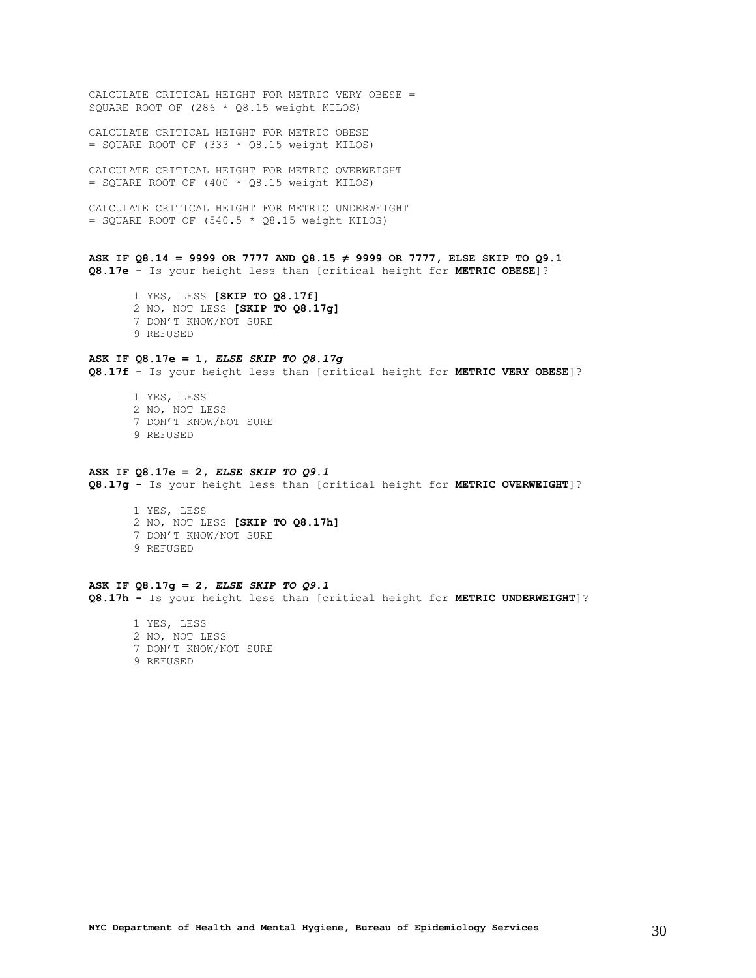CALCULATE CRITICAL HEIGHT FOR METRIC VERY OBESE = SQUARE ROOT OF (286 \* Q8.15 weight KILOS)

CALCULATE CRITICAL HEIGHT FOR METRIC OBESE  $=$  SQUARE ROOT OF (333  $*$  Q8.15 weight KILOS)

CALCULATE CRITICAL HEIGHT FOR METRIC OVERWEIGHT  $=$  SQUARE ROOT OF (400  $*$  Q8.15 weight KILOS)

CALCULATE CRITICAL HEIGHT FOR METRIC UNDERWEIGHT  $=$  SQUARE ROOT OF (540.5  $*$  Q8.15 weight KILOS)

**ASK IF Q8.14 = 9999 OR 7777 AND Q8.15 ≠ 9999 OR 7777, ELSE SKIP TO Q9.1 Q8.17e -** Is your height less than [critical height for **METRIC OBESE**]?

1 YES, LESS **[SKIP TO Q8.17f]** 2 NO, NOT LESS **[SKIP TO Q8.17g]** 7 DON'T KNOW/NOT SURE 9 REFUSED

### **ASK IF Q8.17e = 1,** *ELSE SKIP TO Q8.17g*

**Q8.17f -** Is your height less than [critical height for **METRIC VERY OBESE**]?

1 YES, LESS 2 NO, NOT LESS 7 DON'T KNOW/NOT SURE 9 REFUSED

#### **ASK IF Q8.17e = 2,** *ELSE SKIP TO Q9.1*

**Q8.17g -** Is your height less than [critical height for **METRIC OVERWEIGHT**]?

1 YES, LESS 2 NO, NOT LESS **[SKIP TO Q8.17h]** 7 DON'T KNOW/NOT SURE 9 REFUSED

**ASK IF Q8.17g = 2,** *ELSE SKIP TO Q9.1* **Q8.17h -** Is your height less than [critical height for **METRIC UNDERWEIGHT**]?

1 YES, LESS 2 NO, NOT LESS 7 DON'T KNOW/NOT SURE 9 REFUSED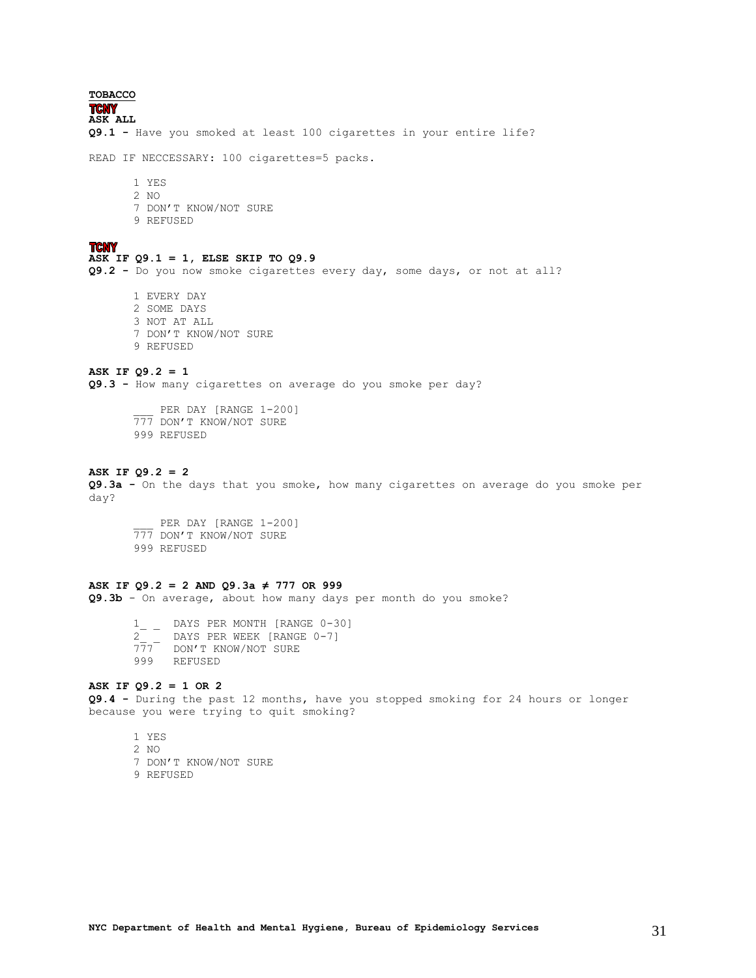<span id="page-30-0"></span>**TOBACCO TCNY ASK ALL Q9.1 -** Have you smoked at least 100 cigarettes in your entire life? READ IF NECCESSARY: 100 cigarettes=5 packs. 1 YES 2 NO 7 DON'T KNOW/NOT SURE 9 REFUSED **TCNY ASK IF Q9.1 = 1, ELSE SKIP TO Q9.9 Q9.2 -** Do you now smoke cigarettes every day, some days, or not at all? 1 EVERY DAY 2 SOME DAYS 3 NOT AT ALL 7 DON'T KNOW/NOT SURE 9 REFUSED **ASK IF Q9.2 = 1 Q9.3 -** How many cigarettes on average do you smoke per day? PER DAY [RANGE 1-200] 777 DON'T KNOW/NOT SURE 999 REFUSED **ASK IF Q9.2 = 2 Q9.3a -** On the days that you smoke, how many cigarettes on average do you smoke per day? PER DAY [RANGE 1-200] 777 DON'T KNOW/NOT SURE 999 REFUSED **ASK IF Q9.2 = 2 AND Q9.3a ≠ 777 OR 999 Q9.3b** - On average, about how many days per month do you smoke? 1 DAYS PER MONTH [RANGE 0-30] 2\_ \_ DAYS PER WEEK [RANGE 0-7] 777 DON'T KNOW/NOT SURE 999 REFUSED **ASK IF Q9.2 = 1 OR 2**

**Q9.4 -** During the past 12 months, have you stopped smoking for 24 hours or longer because you were trying to quit smoking?

1 YES 2 NO 7 DON'T KNOW/NOT SURE 9 REFUSED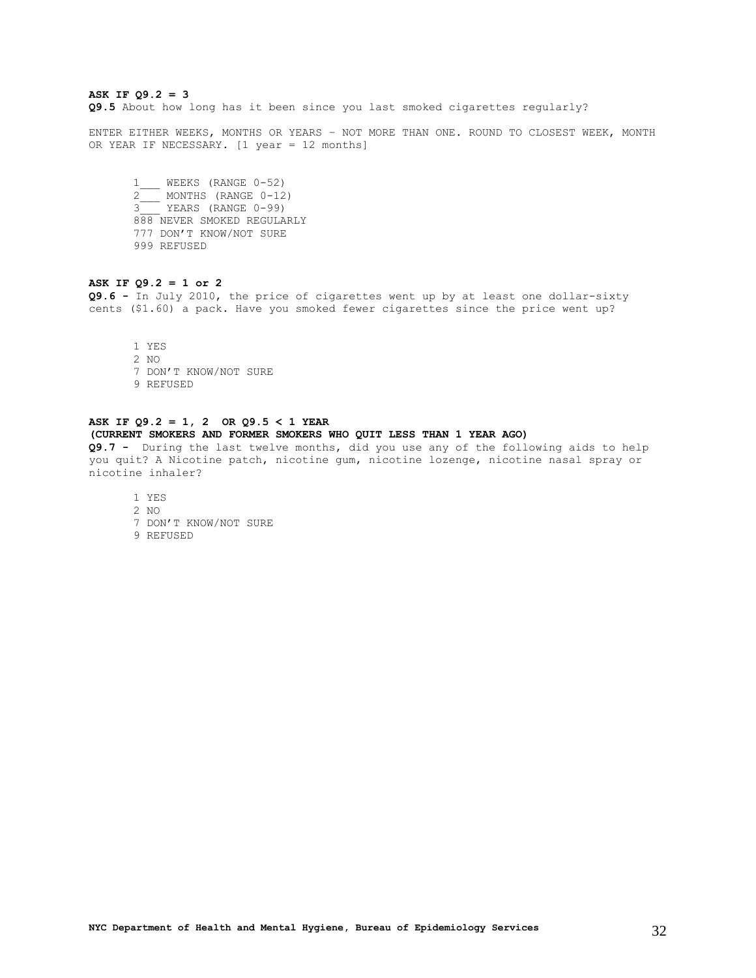### **ASK IF Q9.2 = 3**

**Q9.5** About how long has it been since you last smoked cigarettes regularly?

ENTER EITHER WEEKS, MONTHS OR YEARS – NOT MORE THAN ONE. ROUND TO CLOSEST WEEK, MONTH OR YEAR IF NECESSARY. [1 year = 12 months]

1\_\_\_ WEEKS (RANGE 0-52) 2 MONTHS (RANGE 0-12) 3\_\_\_ YEARS (RANGE 0-99) 888 NEVER SMOKED REGULARLY 777 DON'T KNOW/NOT SURE 999 REFUSED

### **ASK IF Q9.2 = 1 or 2**

**Q9.6 -** In July 2010, the price of cigarettes went up by at least one dollar-sixty cents (\$1.60) a pack. Have you smoked fewer cigarettes since the price went up?

1 YES 2 NO 7 DON'T KNOW/NOT SURE 9 REFUSED

### **ASK IF Q9.2 = 1, 2 OR Q9.5 < 1 YEAR**

### **(CURRENT SMOKERS AND FORMER SMOKERS WHO QUIT LESS THAN 1 YEAR AGO)**

**Q9.7 -** During the last twelve months, did you use any of the following aids to help you quit? A Nicotine patch, nicotine gum, nicotine lozenge, nicotine nasal spray or nicotine inhaler?

1 YES 2 NO 7 DON'T KNOW/NOT SURE 9 REFUSED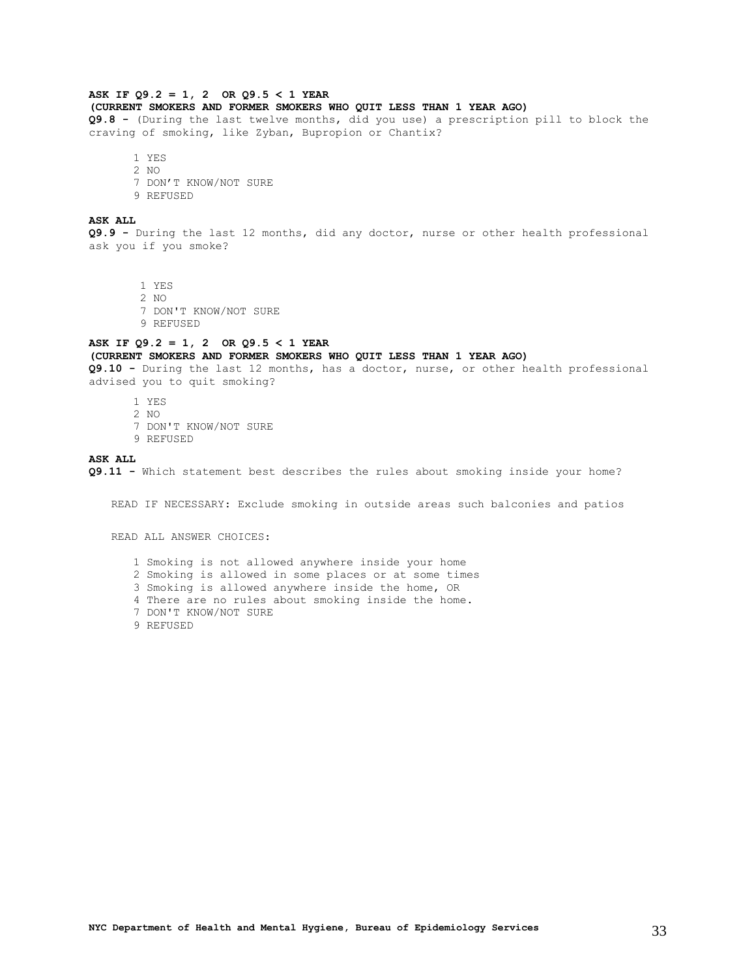### **ASK IF Q9.2 = 1, 2 OR Q9.5 < 1 YEAR**

**(CURRENT SMOKERS AND FORMER SMOKERS WHO QUIT LESS THAN 1 YEAR AGO)** 

**Q9.8 -** (During the last twelve months, did you use) a prescription pill to block the craving of smoking, like Zyban, Bupropion or Chantix?

1 YES

2 NO 7 DON'T KNOW/NOT SURE

9 REFUSED

### **ASK ALL**

**Q9.9 -** During the last 12 months, did any doctor, nurse or other health professional ask you if you smoke?

1 YES

2 NO

7 DON'T KNOW/NOT SURE

9 REFUSED

### **ASK IF Q9.2 = 1, 2 OR Q9.5 < 1 YEAR (CURRENT SMOKERS AND FORMER SMOKERS WHO QUIT LESS THAN 1 YEAR AGO)**

**Q9.10 -** During the last 12 months, has a doctor, nurse, or other health professional advised you to quit smoking?

- 1 YES
- 2 NO
- 7 DON'T KNOW/NOT SURE
- 9 REFUSED

#### **ASK ALL**

**Q9.11 -** Which statement best describes the rules about smoking inside your home?

READ IF NECESSARY: Exclude smoking in outside areas such balconies and patios

READ ALL ANSWER CHOICES:

- 1 Smoking is not allowed anywhere inside your home
- 2 Smoking is allowed in some places or at some times
- 3 Smoking is allowed anywhere inside the home, OR
- 4 There are no rules about smoking inside the home.
- 7 DON'T KNOW/NOT SURE
- 9 REFUSED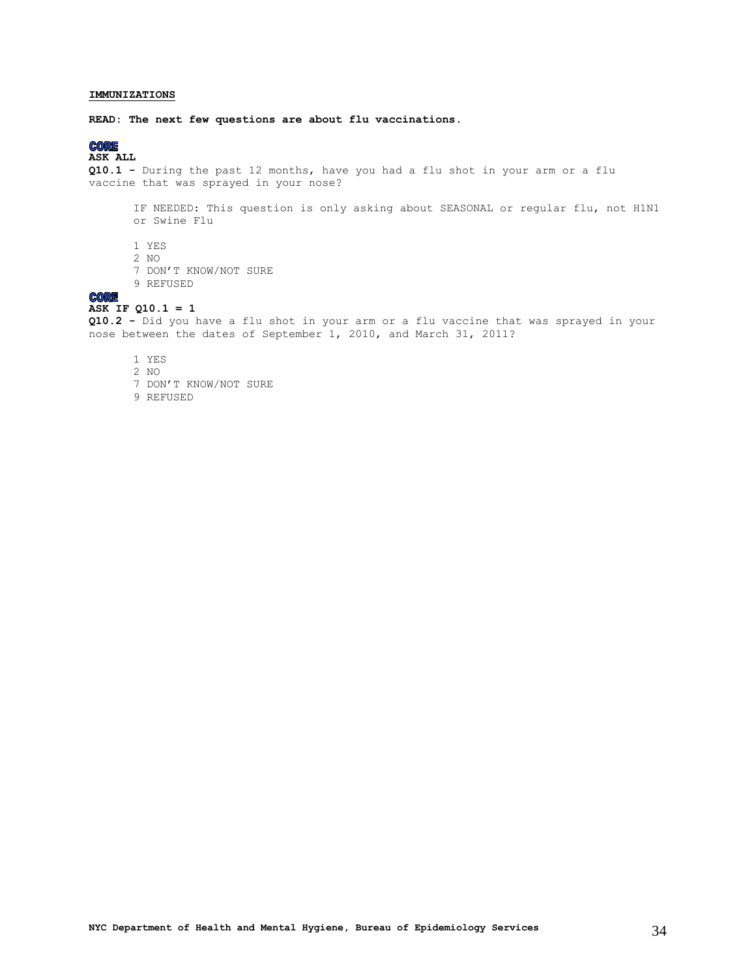### <span id="page-33-0"></span>**IMMUNIZATIONS**

**READ: The next few questions are about flu vaccinations.** 

### **CORE**

### **ASK ALL**

**Q10.1 -** During the past 12 months, have you had a flu shot in your arm or a flu vaccine that was sprayed in your nose?

IF NEEDED: This question is only asking about SEASONAL or regular flu, not H1N1 or Swine Flu

- 1 YES
- 2 NO
- 7 DON'T KNOW/NOT SURE
- 9 REFUSED

### **CORE**

### **ASK IF Q10.1 = 1**

**Q10.2 -** Did you have a flu shot in your arm or a flu vaccine that was sprayed in your nose between the dates of September 1, 2010, and March 31, 2011?

- 1 YES
- 2 NO
- 7 DON'T KNOW/NOT SURE
- 9 REFUSED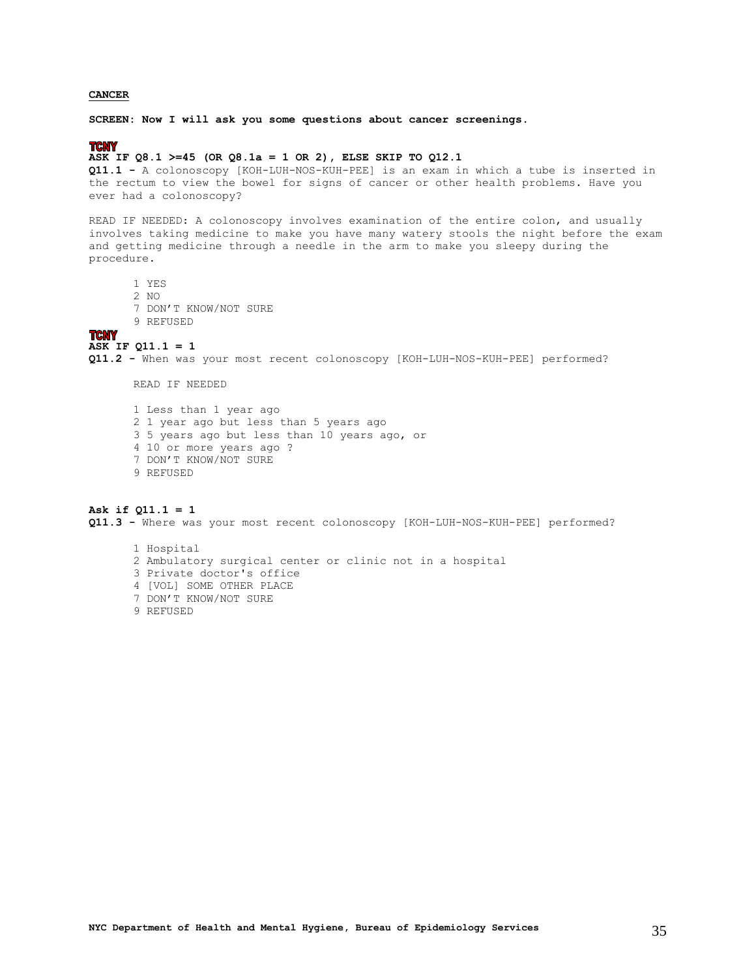### <span id="page-34-0"></span>**CANCER**

**SCREEN: Now I will ask you some questions about cancer screenings.**

### **TCNY**

### **ASK IF Q8.1 >=45 (OR Q8.1a = 1 OR 2), ELSE SKIP TO Q12.1**

**Q11.1 -** A colonoscopy [KOH-LUH-NOS-KUH-PEE] is an exam in which a tube is inserted in the rectum to view the bowel for signs of cancer or other health problems. Have you ever had a colonoscopy?

READ IF NEEDED: A colonoscopy involves examination of the entire colon, and usually involves taking medicine to make you have many watery stools the night before the exam and getting medicine through a needle in the arm to make you sleepy during the procedure.

- 1 YES
- 2 NO
- 7 DON'T KNOW/NOT SURE
- 9 REFUSED

#### **TCNY**

### **ASK IF Q11.1 = 1**

**Q11.2 -** When was your most recent colonoscopy [KOH-LUH-NOS-KUH-PEE] performed?

READ IF NEEDED

1 Less than 1 year ago 2 1 year ago but less than 5 years ago 3 5 years ago but less than 10 years ago, or 4 10 or more years ago ? 7 DON'T KNOW/NOT SURE 9 REFUSED

### **Ask if Q11.1 = 1**

**Q11.3 -** Where was your most recent colonoscopy [KOH-LUH-NOS-KUH-PEE] performed?

1 Hospital 2 Ambulatory surgical center or clinic not in a hospital 3 Private doctor's office 4 [VOL] SOME OTHER PLACE 7 DON'T KNOW/NOT SURE

9 REFUSED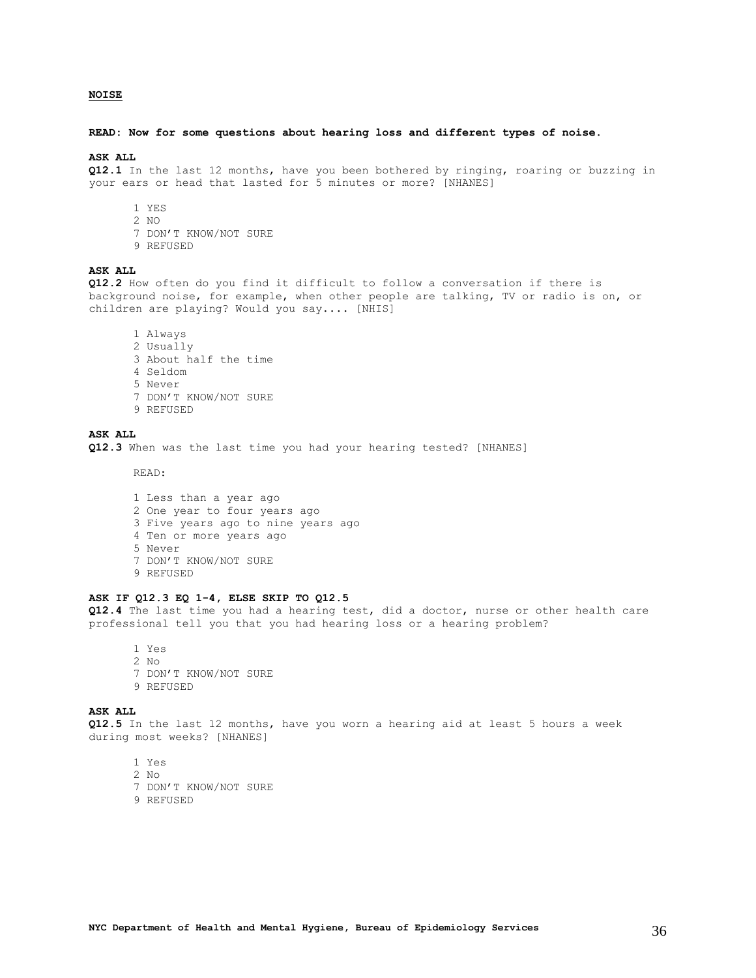### <span id="page-35-0"></span>**NOISE**

#### **READ: Now for some questions about hearing loss and different types of noise.**

#### **ASK ALL**

**Q12.1** In the last 12 months, have you been bothered by ringing, roaring or buzzing in your ears or head that lasted for 5 minutes or more? [NHANES]

- 1 YES
- 2 NO
- 7 DON'T KNOW/NOT SURE
- 9 REFUSED

### **ASK ALL**

**Q12.2** How often do you find it difficult to follow a conversation if there is background noise, for example, when other people are talking, TV or radio is on, or children are playing? Would you say.... [NHIS]

1 Always 2 Usually 3 About half the time 4 Seldom 5 Never 7 DON'T KNOW/NOT SURE 9 REFUSED

### **ASK ALL**

**Q12.3** When was the last time you had your hearing tested? [NHANES]

READ:

1 Less than a year ago 2 One year to four years ago 3 Five years ago to nine years ago 4 Ten or more years ago 5 Never 7 DON'T KNOW/NOT SURE 9 REFUSED

### **ASK IF Q12.3 EQ 1-4, ELSE SKIP TO Q12.5**

**Q12.4** The last time you had a hearing test, did a doctor, nurse or other health care professional tell you that you had hearing loss or a hearing problem?

1 Yes 2 No 7 DON'T KNOW/NOT SURE 9 REFUSED

### **ASK ALL**

**Q12.5** In the last 12 months, have you worn a hearing aid at least 5 hours a week during most weeks? [NHANES]

1 Yes

- 2 No
- 7 DON'T KNOW/NOT SURE
- 9 REFUSED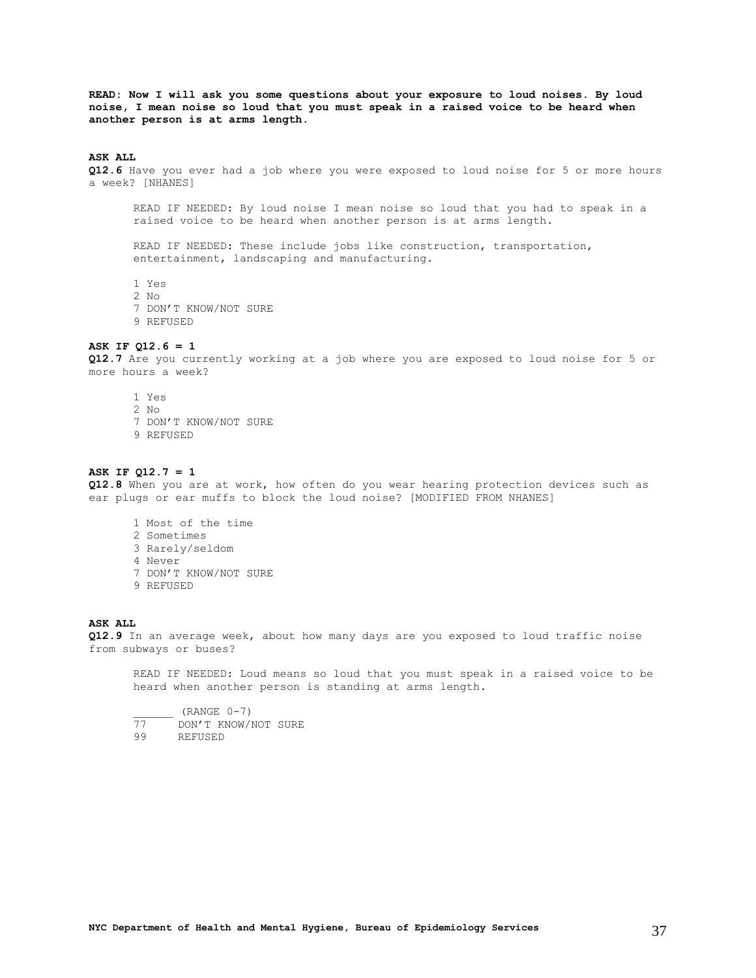**READ: Now I will ask you some questions about your exposure to loud noises. By loud noise, I mean noise so loud that you must speak in a raised voice to be heard when another person is at arms length.**

### **ASK ALL**

**Q12.6** Have you ever had a job where you were exposed to loud noise for 5 or more hours a week? [NHANES]

READ IF NEEDED: By loud noise I mean noise so loud that you had to speak in a raised voice to be heard when another person is at arms length.

READ IF NEEDED: These include jobs like construction, transportation, entertainment, landscaping and manufacturing.

1 Yes 2 No

7 DON'T KNOW/NOT SURE

9 REFUSED

### **ASK IF Q12.6 = 1**

**Q12.7** Are you currently working at a job where you are exposed to loud noise for 5 or more hours a week?

1 Yes 2 No 7 DON'T KNOW/NOT SURE 9 REFUSED

### **ASK IF Q12.7 = 1**

**Q12.8** When you are at work, how often do you wear hearing protection devices such as ear plugs or ear muffs to block the loud noise? [MODIFIED FROM NHANES]

- 1 Most of the time 2 Sometimes 3 Rarely/seldom 4 Never 7 DON'T KNOW/NOT SURE
- 9 REFUSED

### **ASK ALL**

**Q12.9** In an average week, about how many days are you exposed to loud traffic noise from subways or buses?

READ IF NEEDED: Loud means so loud that you must speak in a raised voice to be heard when another person is standing at arms length.

 $\frac{1}{77}$  (RANGE 0-7) 77 DON'T KNOW/NOT SURE 99 REFUSED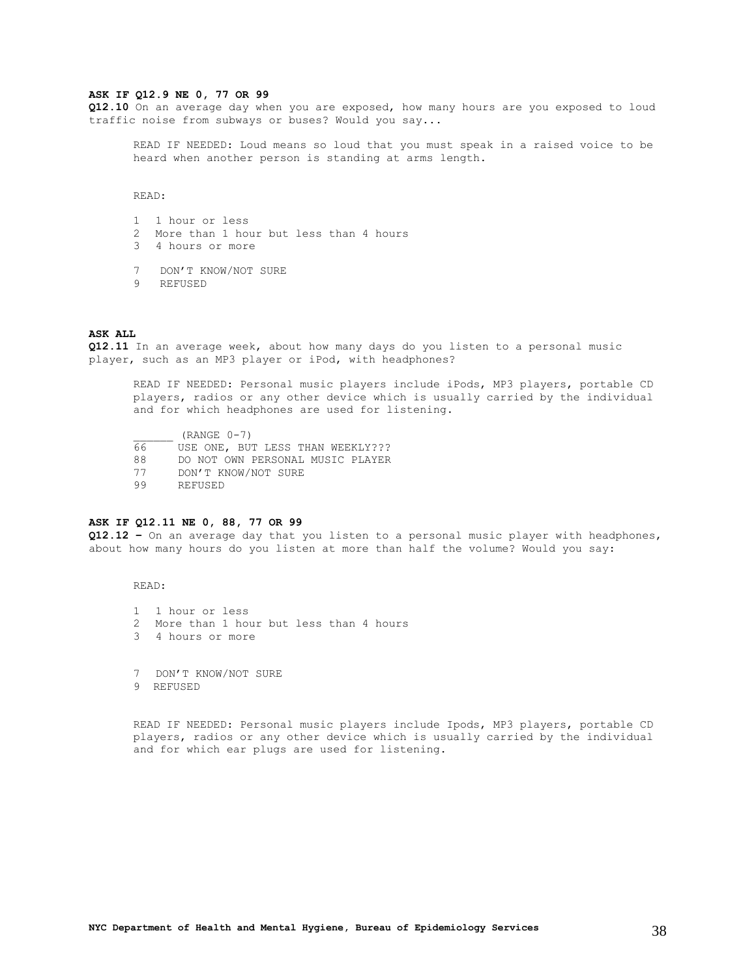#### **ASK IF Q12.9 NE 0, 77 OR 99**

**Q12.10** On an average day when you are exposed, how many hours are you exposed to loud traffic noise from subways or buses? Would you say...

READ IF NEEDED: Loud means so loud that you must speak in a raised voice to be heard when another person is standing at arms length.

READ:

- 1 1 hour or less
- 2 More than 1 hour but less than 4 hours
- 3 4 hours or more
- 7 DON'T KNOW/NOT SURE
- 9 REFUSED

### **ASK ALL**

**Q12.11** In an average week, about how many days do you listen to a personal music player, such as an MP3 player or iPod, with headphones?

READ IF NEEDED: Personal music players include iPods, MP3 players, portable CD players, radios or any other device which is usually carried by the individual and for which headphones are used for listening.

 $\frac{\text{(RANGE 0-7)}}{66}$  USE ONE, BUT USE ONE, BUT LESS THAN WEEKLY??? 88 DO NOT OWN PERSONAL MUSIC PLAYER 77 DON'T KNOW/NOT SURE 99 REFUSED

### **ASK IF Q12.11 NE 0, 88, 77 OR 99**

**Q12.12 –** On an average day that you listen to a personal music player with headphones, about how many hours do you listen at more than half the volume? Would you say:

### READ:

- 1 1 hour or less
- 2 More than 1 hour but less than 4 hours
- 3 4 hours or more

7 DON'T KNOW/NOT SURE 9 REFUSED

READ IF NEEDED: Personal music players include Ipods, MP3 players, portable CD players, radios or any other device which is usually carried by the individual and for which ear plugs are used for listening.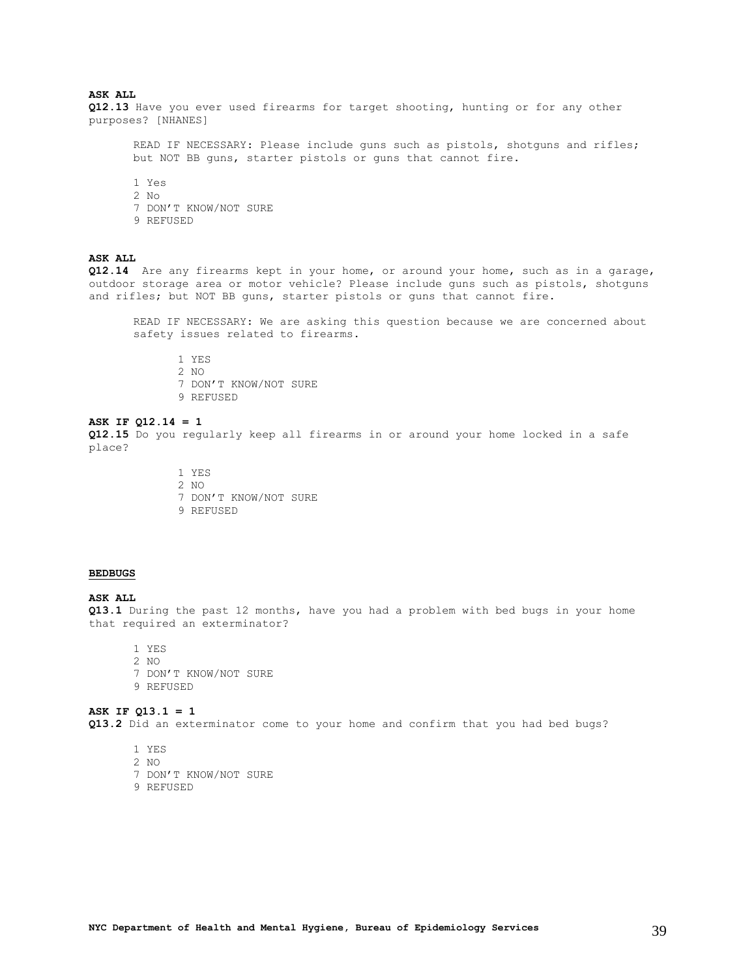### **ASK ALL**

**Q12.13** Have you ever used firearms for target shooting, hunting or for any other purposes? [NHANES]

READ IF NECESSARY: Please include guns such as pistols, shotguns and rifles; but NOT BB guns, starter pistols or guns that cannot fire.

- 1 Yes
- 2 No
- 7 DON'T KNOW/NOT SURE
- 9 REFUSED

### **ASK ALL**

**Q12.14** Are any firearms kept in your home, or around your home, such as in a garage, outdoor storage area or motor vehicle? Please include guns such as pistols, shotguns and rifles; but NOT BB guns, starter pistols or guns that cannot fire.

READ IF NECESSARY: We are asking this question because we are concerned about safety issues related to firearms.

1 YES 2 NO 7 DON'T KNOW/NOT SURE 9 REFUSED

### **ASK IF Q12.14 = 1**

**Q12.15** Do you regularly keep all firearms in or around your home locked in a safe place?

> 1 YES 2 NO 7 DON'T KNOW/NOT SURE 9 REFUSED

#### <span id="page-38-0"></span>**BEDBUGS**

#### **ASK ALL**

**Q13.1** During the past 12 months, have you had a problem with bed bugs in your home that required an exterminator?

1 YES

2 NO 7 DON'T KNOW/NOT SURE 9 REFUSED

### **ASK IF Q13.1 = 1 Q13.2** Did an exterminator come to your home and confirm that you had bed bugs?

1 YES

- 2 NO
- 7 DON'T KNOW/NOT SURE
- 9 REFUSED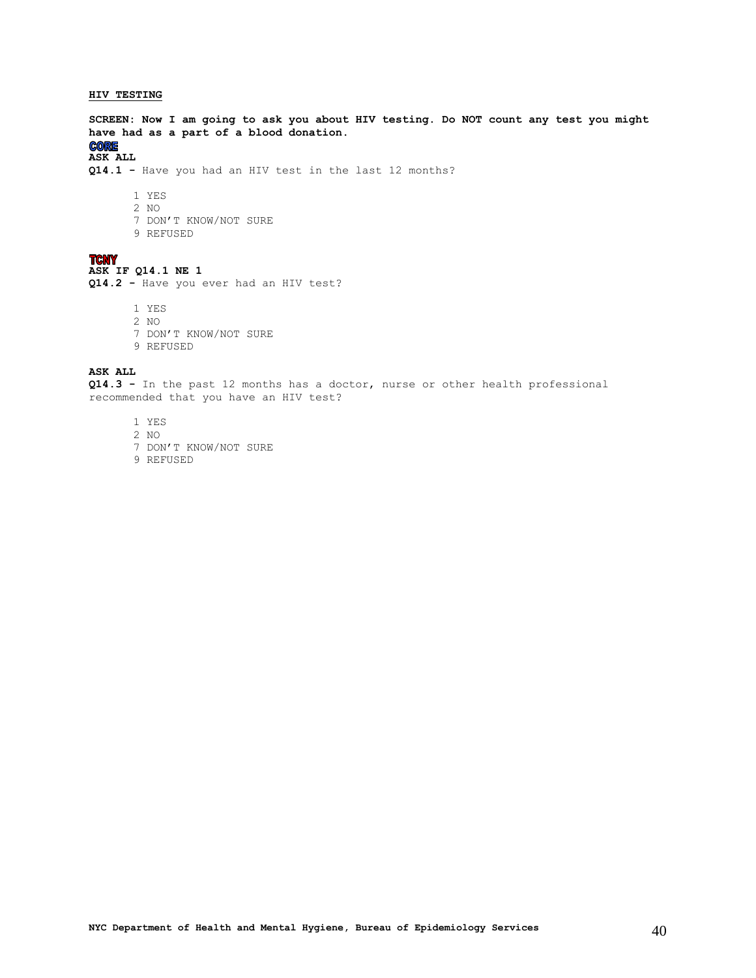### <span id="page-39-0"></span>**HIV TESTING**

**SCREEN: Now I am going to ask you about HIV testing. Do NOT count any test you might have had as a part of a blood donation. CORE** 

### **ASK ALL**

**Q14.1 -** Have you had an HIV test in the last 12 months?

- 1 YES
- 2 NO
- 7 DON'T KNOW/NOT SURE
- 9 REFUSED

### **TCNY**

### **ASK IF Q14.1 NE 1**

**Q14.2 -** Have you ever had an HIV test?

1 YES

- 2 NO
- 7 DON'T KNOW/NOT SURE
- 9 REFUSED

### **ASK ALL**

**Q14.3 -** In the past 12 months has a doctor, nurse or other health professional recommended that you have an HIV test?

- 1 YES
- 2 NO
- 7 DON'T KNOW/NOT SURE
- 9 REFUSED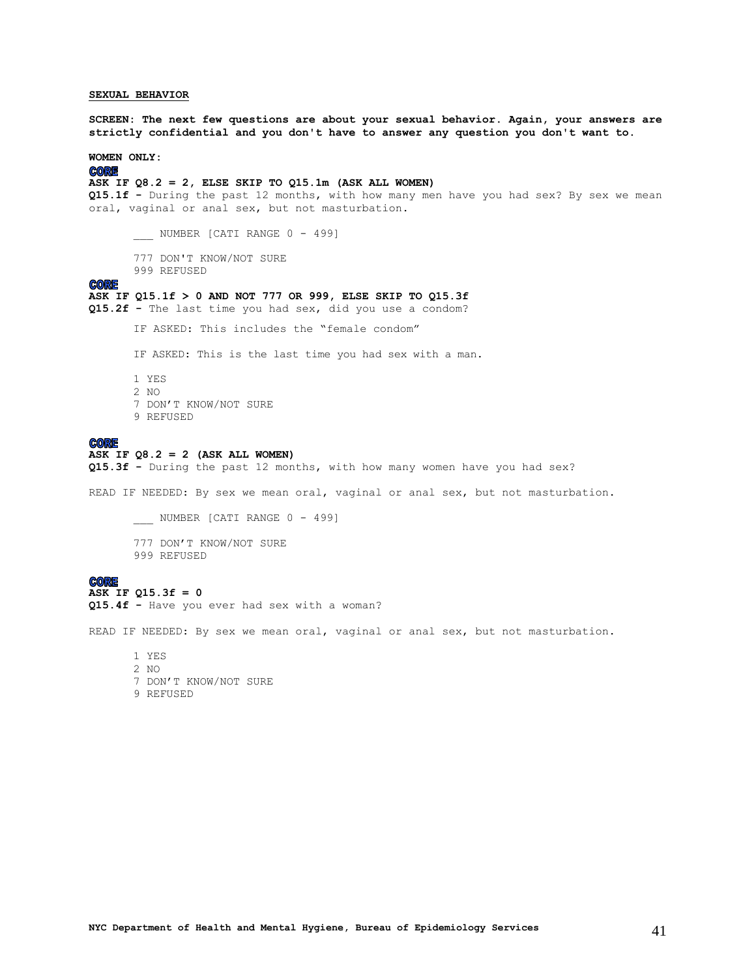### <span id="page-40-0"></span>**SEXUAL BEHAVIOR**

**SCREEN: The next few questions are about your sexual behavior. Again, your answers are strictly confidential and you don't have to answer any question you don't want to.**

### **WOMEN ONLY:**

**CORE** 

### **ASK IF Q8.2 = 2, ELSE SKIP TO Q15.1m (ASK ALL WOMEN)**

**Q15.1f -** During the past 12 months, with how many men have you had sex? By sex we mean oral, vaginal or anal sex, but not masturbation.

\_\_\_ NUMBER [CATI RANGE 0 - 499]

- 777 DON'T KNOW/NOT SURE
- 999 REFUSED

#### **CORE**

### **ASK IF Q15.1f > 0 AND NOT 777 OR 999, ELSE SKIP TO Q15.3f**

**Q15.2f -** The last time you had sex, did you use a condom?

IF ASKED: This includes the "female condom"

IF ASKED: This is the last time you had sex with a man.

1 YES 2 NO 7 DON'T KNOW/NOT SURE 9 REFUSED

### **CORE**

### **ASK IF Q8.2 = 2 (ASK ALL WOMEN)**

**Q15.3f -** During the past 12 months, with how many women have you had sex?

READ IF NEEDED: By sex we mean oral, vaginal or anal sex, but not masturbation.

NUMBER [CATI RANGE 0 - 499] 777 DON'T KNOW/NOT SURE 999 REFUSED

#### **CORE**

### **ASK IF Q15.3f = 0 Q15.4f -** Have you ever had sex with a woman?

READ IF NEEDED: By sex we mean oral, vaginal or anal sex, but not masturbation.

1 YES 2 NO 7 DON'T KNOW/NOT SURE 9 REFUSED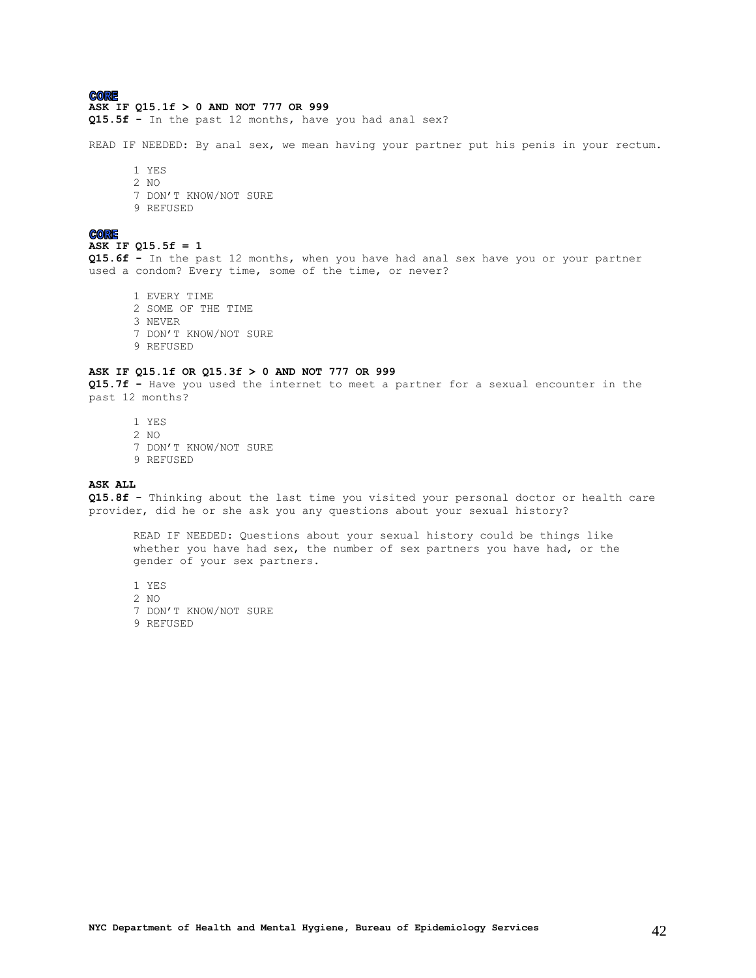### **CORE**

#### **ASK IF Q15.1f > 0 AND NOT 777 OR 999**

**Q15.5f -** In the past 12 months, have you had anal sex?

READ IF NEEDED: By anal sex, we mean having your partner put his penis in your rectum.

1 YES 2 NO 7 DON'T KNOW/NOT SURE 9 REFUSED

#### **CORE**

### **ASK IF Q15.5f = 1**

**Q15.6f -** In the past 12 months, when you have had anal sex have you or your partner used a condom? Every time, some of the time, or never?

1 EVERY TIME 2 SOME OF THE TIME 3 NEVER 7 DON'T KNOW/NOT SURE 9 REFUSED

#### **ASK IF Q15.1f OR Q15.3f > 0 AND NOT 777 OR 999**

**Q15.7f -** Have you used the internet to meet a partner for a sexual encounter in the past 12 months?

1 YES 2 NO 7 DON'T KNOW/NOT SURE 9 REFUSED

#### **ASK ALL**

**Q15.8f -** Thinking about the last time you visited your personal doctor or health care provider, did he or she ask you any questions about your sexual history?

READ IF NEEDED: Questions about your sexual history could be things like whether you have had sex, the number of sex partners you have had, or the gender of your sex partners.

1 YES 2 NO 7 DON'T KNOW/NOT SURE 9 REFUSED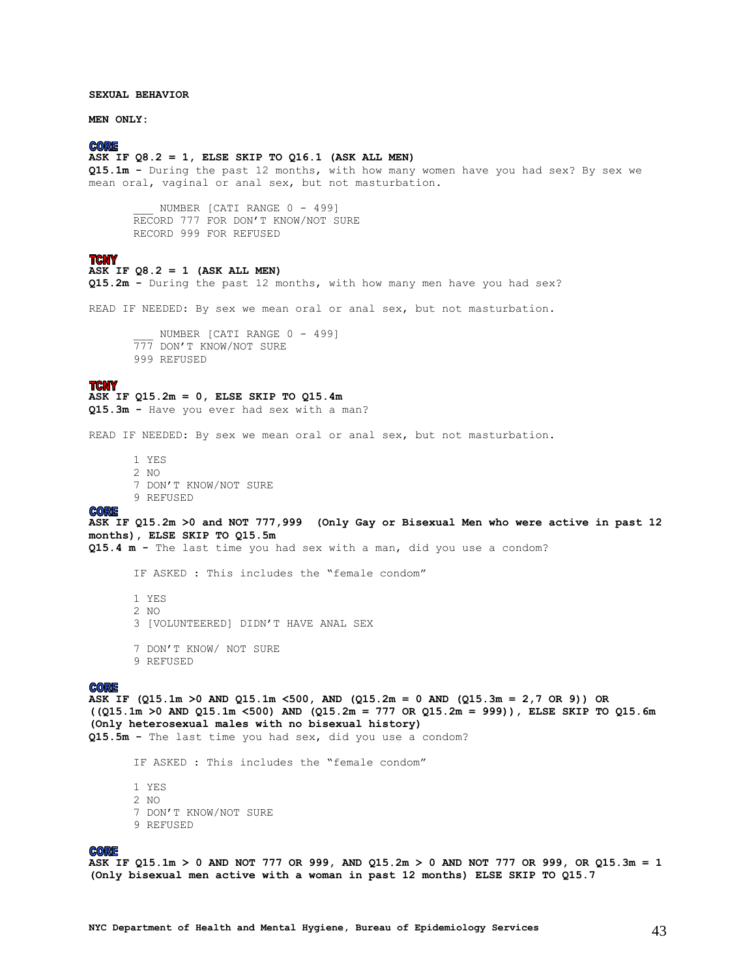### **SEXUAL BEHAVIOR**

**MEN ONLY:**

### **CORE**

### **ASK IF Q8.2 = 1, ELSE SKIP TO Q16.1 (ASK ALL MEN)**

**Q15.1m -** During the past 12 months, with how many women have you had sex? By sex we mean oral, vaginal or anal sex, but not masturbation.

NUMBER [CATI RANGE 0 - 499] RECORD 777 FOR DON'T KNOW/NOT SURE RECORD 999 FOR REFUSED

### **TCNY**

## **ASK IF Q8.2 = 1 (ASK ALL MEN)**

**Q15.2m -** During the past 12 months, with how many men have you had sex?

READ IF NEEDED: By sex we mean oral or anal sex, but not masturbation.

NUMBER [CATI RANGE 0 - 499] 777 DON'T KNOW/NOT SURE 999 REFUSED

#### **TCNY**

### **ASK IF Q15.2m = 0, ELSE SKIP TO Q15.4m**

**Q15.3m -** Have you ever had sex with a man?

READ IF NEEDED: By sex we mean oral or anal sex, but not masturbation.

1 YES 2 NO 7 DON'T KNOW/NOT SURE 9 REFUSED

#### **CORE**

**ASK IF Q15.2m >0 and NOT 777,999 (Only Gay or Bisexual Men who were active in past 12 months), ELSE SKIP TO Q15.5m**

**Q15.4 m -** The last time you had sex with a man, did you use a condom?

IF ASKED : This includes the "female condom"

1 YES 2 NO 3 [VOLUNTEERED] DIDN'T HAVE ANAL SEX 7 DON'T KNOW/ NOT SURE 9 REFUSED

#### **CORE**

**ASK IF (Q15.1m >0 AND Q15.1m <500, AND (Q15.2m = 0 AND (Q15.3m = 2,7 OR 9)) OR ((Q15.1m >0 AND Q15.1m <500) AND (Q15.2m = 777 OR Q15.2m = 999)), ELSE SKIP TO Q15.6m (Only heterosexual males with no bisexual history) Q15.5m -** The last time you had sex, did you use a condom?

IF ASKED : This includes the "female condom"

1 YES 2 NO 7 DON'T KNOW/NOT SURE 9 REFUSED

#### **CORE**

**ASK IF Q15.1m > 0 AND NOT 777 OR 999, AND Q15.2m > 0 AND NOT 777 OR 999, OR Q15.3m = 1 (Only bisexual men active with a woman in past 12 months) ELSE SKIP TO Q15.7**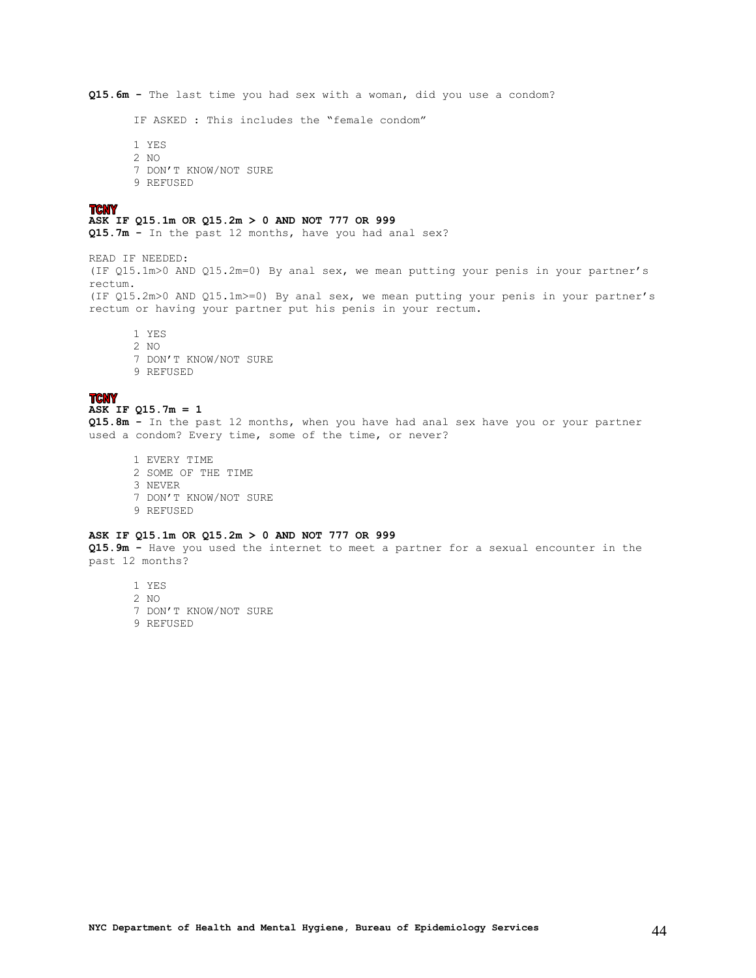**Q15.6m -** The last time you had sex with a woman, did you use a condom? IF ASKED : This includes the "female condom" 1 YES 2 NO 7 DON'T KNOW/NOT SURE 9 REFUSED **TCNY ASK IF Q15.1m OR Q15.2m > 0 AND NOT 777 OR 999 Q15.7m -** In the past 12 months, have you had anal sex? READ IF NEEDED: (IF Q15.1m>0 AND Q15.2m=0) By anal sex, we mean putting your penis in your partner's rectum. (IF Q15.2m>0 AND Q15.1m>=0) By anal sex, we mean putting your penis in your partner's rectum or having your partner put his penis in your rectum. 1 YES 2 NO 7 DON'T KNOW/NOT SURE 9 REFUSED

### **TCNY**

#### **ASK IF Q15.7m = 1**

**Q15.8m -** In the past 12 months, when you have had anal sex have you or your partner used a condom? Every time, some of the time, or never?

1 EVERY TIME 2 SOME OF THE TIME 3 NEVER 7 DON'T KNOW/NOT SURE 9 REFUSED

### **ASK IF Q15.1m OR Q15.2m > 0 AND NOT 777 OR 999**

**Q15.9m -** Have you used the internet to meet a partner for a sexual encounter in the past 12 months?

1 YES 2 NO 7 DON'T KNOW/NOT SURE

9 REFUSED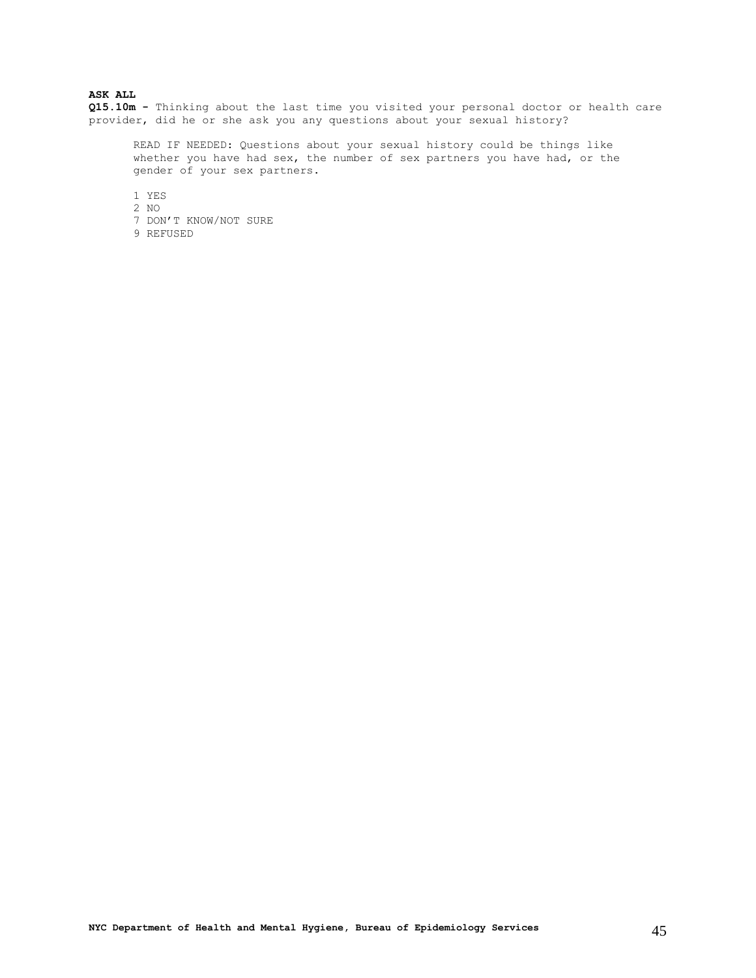### **ASK ALL**

**Q15.10m -** Thinking about the last time you visited your personal doctor or health care provider, did he or she ask you any questions about your sexual history?

READ IF NEEDED: Questions about your sexual history could be things like whether you have had sex, the number of sex partners you have had, or the gender of your sex partners.

1 YES

- 2 NO
- 7 DON'T KNOW/NOT SURE
- 9 REFUSED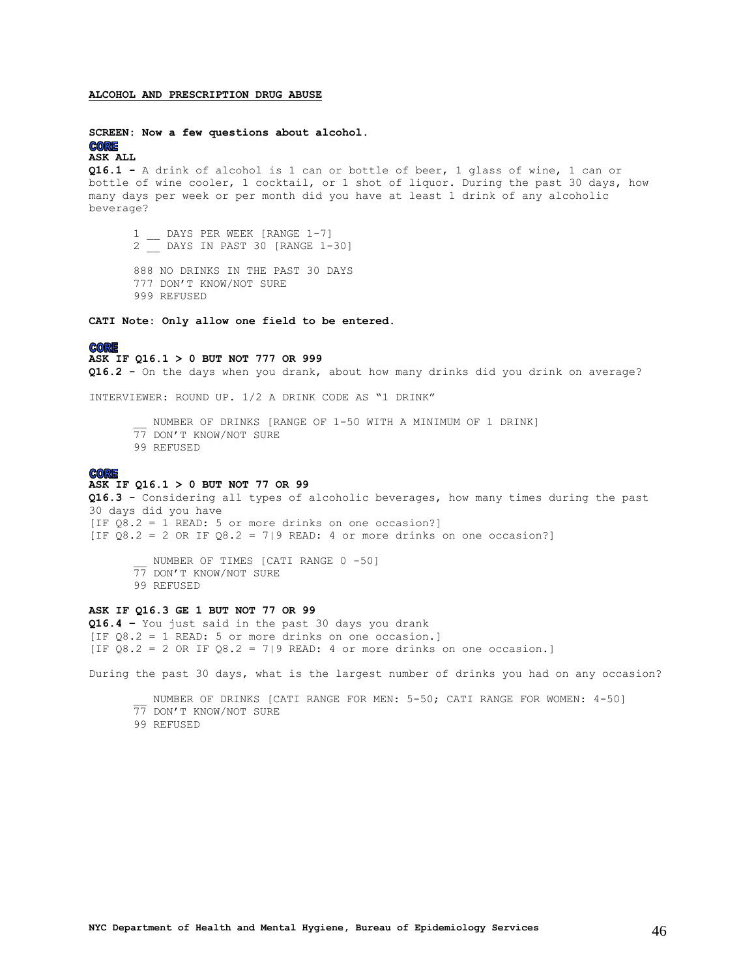#### <span id="page-45-0"></span>**ALCOHOL AND PRESCRIPTION DRUG ABUSE**

#### **SCREEN: Now a few questions about alcohol. CORE**

#### **ASK ALL**

**Q16.1 -** A drink of alcohol is 1 can or bottle of beer, 1 glass of wine, 1 can or bottle of wine cooler, 1 cocktail, or 1 shot of liquor. During the past 30 days, how many days per week or per month did you have at least 1 drink of any alcoholic beverage?

1 DAYS PER WEEK [RANGE 1-7] 2 \_\_ DAYS IN PAST 30 [RANGE 1-30]

888 NO DRINKS IN THE PAST 30 DAYS 777 DON'T KNOW/NOT SURE 999 REFUSED

**CATI Note: Only allow one field to be entered.**

### **CORE**

**ASK IF Q16.1 > 0 BUT NOT 777 OR 999**

**Q16.2 -** On the days when you drank, about how many drinks did you drink on average?

INTERVIEWER: ROUND UP. 1/2 A DRINK CODE AS "1 DRINK"

NUMBER OF DRINKS [RANGE OF 1-50 WITH A MINIMUM OF 1 DRINK] 77 DON'T KNOW/NOT SURE 99 REFUSED

#### **CORE**

#### **ASK IF Q16.1 > 0 BUT NOT 77 OR 99**

**Q16.3 -** Considering all types of alcoholic beverages, how many times during the past 30 days did you have [IF  $Q\overline{8}.2 = 1$  READ: 5 or more drinks on one occasion?] [IF  $Q8.2 = 2$  OR IF  $Q8.2 = 7$ |9 READ: 4 or more drinks on one occasion?]

NUMBER OF TIMES [CATI RANGE 0 -50] 77 DON'T KNOW/NOT SURE 99 REFUSED

### **ASK IF Q16.3 GE 1 BUT NOT 77 OR 99**

**Q16.4 –** You just said in the past 30 days you drank [IF Q8.2 = 1 READ: 5 or more drinks on one occasion.] [IF  $08.2 = 2$  OR IF  $08.2 = 7$ ] READ: 4 or more drinks on one occasion.]

During the past 30 days, what is the largest number of drinks you had on any occasion?

NUMBER OF DRINKS [CATI RANGE FOR MEN: 5-50; CATI RANGE FOR WOMEN: 4-50] 77 DON'T KNOW/NOT SURE 99 REFUSED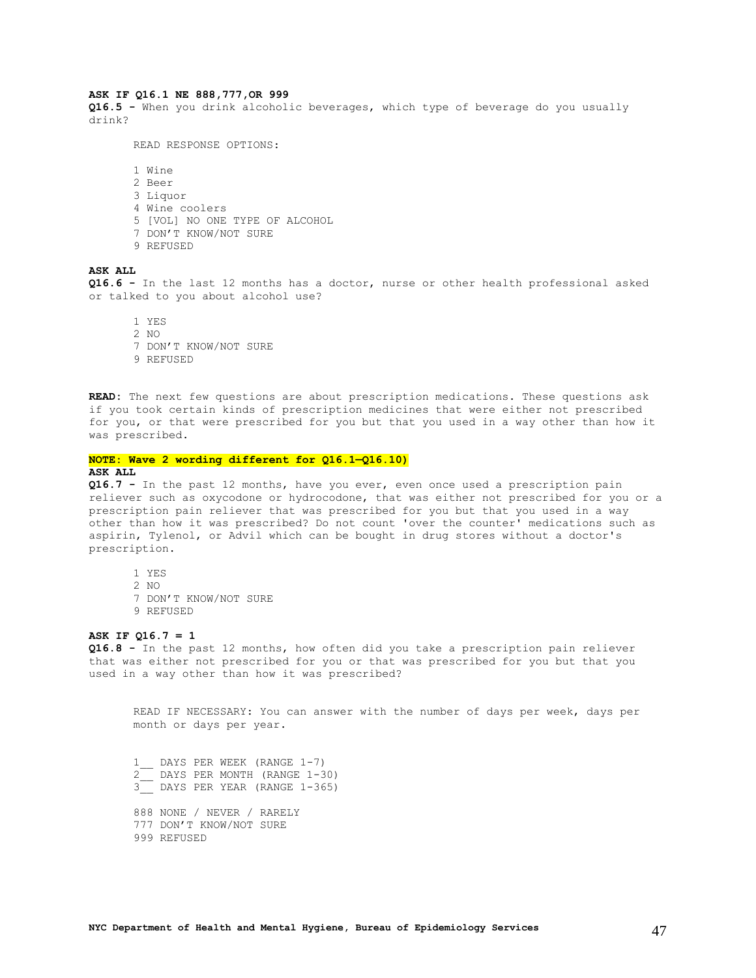#### **ASK IF Q16.1 NE 888,777,OR 999**

**Q16.5 -** When you drink alcoholic beverages, which type of beverage do you usually drink?

READ RESPONSE OPTIONS:

1 Wine 2 Beer 3 Liquor 4 Wine coolers 5 [VOL] NO ONE TYPE OF ALCOHOL 7 DON'T KNOW/NOT SURE 9 REFUSED

### **ASK ALL**

**Q16.6 -** In the last 12 months has a doctor, nurse or other health professional asked or talked to you about alcohol use?

1 YES 2 NO 7 DON'T KNOW/NOT SURE 9 REFUSED

**READ:** The next few questions are about prescription medications. These questions ask if you took certain kinds of prescription medicines that were either not prescribed for you, or that were prescribed for you but that you used in a way other than how it was prescribed.

#### **NOTE: Wave 2 wording different for Q16.1—Q16.10) ASK ALL**

**Q16.7 -** In the past 12 months, have you ever, even once used a prescription pain reliever such as oxycodone or hydrocodone, that was either not prescribed for you or a prescription pain reliever that was prescribed for you but that you used in a way other than how it was prescribed? Do not count 'over the counter' medications such as aspirin, Tylenol, or Advil which can be bought in drug stores without a doctor's prescription.

1 YES 2  $N<sub>O</sub>$ 7 DON'T KNOW/NOT SURE 9 REFUSED

### **ASK IF Q16.7 = 1**

**Q16.8 -** In the past 12 months, how often did you take a prescription pain reliever that was either not prescribed for you or that was prescribed for you but that you used in a way other than how it was prescribed?

READ IF NECESSARY: You can answer with the number of days per week, days per month or days per year.

 $\frac{1}{2}$  DAYS PER WEEK (RANGE 1-7) 2\_\_ DAYS PER MONTH (RANGE 1-30) 3\_\_ DAYS PER YEAR (RANGE 1-365) 888 NONE / NEVER / RARELY 777 DON'T KNOW/NOT SURE 999 REFUSED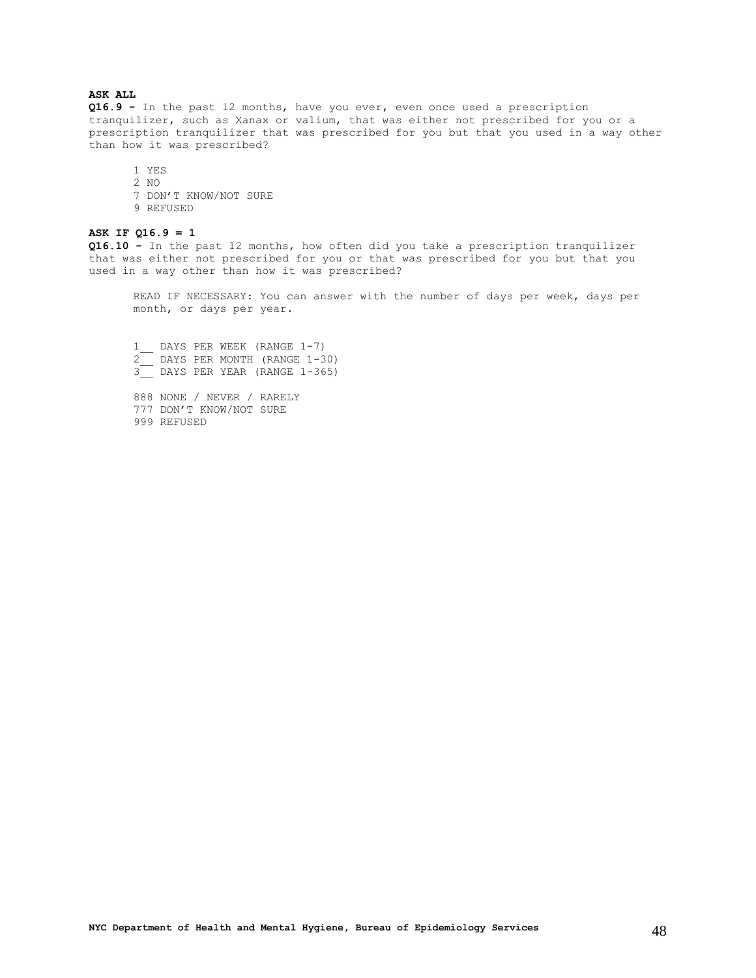### **ASK ALL**

**Q16.9 -** In the past 12 months, have you ever, even once used a prescription tranquilizer, such as Xanax or valium, that was either not prescribed for you or a prescription tranquilizer that was prescribed for you but that you used in a way other than how it was prescribed?

1 YES 2 NO 7 DON'T KNOW/NOT SURE 9 REFUSED

### **ASK IF Q16.9 = 1**

**Q16.10 -** In the past 12 months, how often did you take a prescription tranquilizer that was either not prescribed for you or that was prescribed for you but that you used in a way other than how it was prescribed?

READ IF NECESSARY: You can answer with the number of days per week, days per month, or days per year.

1\_ DAYS PER WEEK (RANGE 1-7) 2\_\_ DAYS PER MONTH (RANGE 1-30) 3\_\_ DAYS PER YEAR (RANGE 1-365) 888 NONE / NEVER / RARELY 777 DON'T KNOW/NOT SURE 999 REFUSED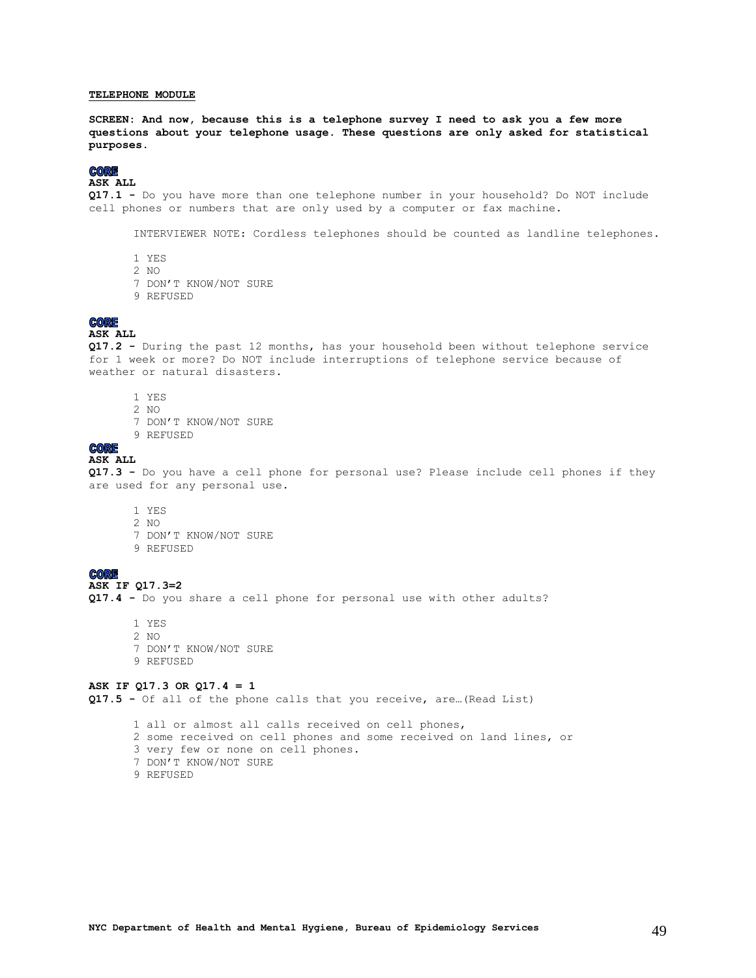### <span id="page-48-0"></span>**TELEPHONE MODULE**

**SCREEN: And now, because this is a telephone survey I need to ask you a few more questions about your telephone usage. These questions are only asked for statistical purposes.**

### **CORE**

### **ASK ALL**

**Q17.1 -** Do you have more than one telephone number in your household? Do NOT include cell phones or numbers that are only used by a computer or fax machine.

INTERVIEWER NOTE: Cordless telephones should be counted as landline telephones.

- 1 YES
- 2 NO
- 7 DON'T KNOW/NOT SURE
- 9 REFUSED

### **CORE**

### **ASK ALL**

**Q17.2 -** During the past 12 months, has your household been without telephone service for 1 week or more? Do NOT include interruptions of telephone service because of weather or natural disasters.

- 1 YES
- 2 NO
- 7 DON'T KNOW/NOT SURE
- 9 REFUSED

### **CORE**

#### **ASK ALL**

**Q17.3 -** Do you have a cell phone for personal use? Please include cell phones if they are used for any personal use.

- 1 YES 2 NO
- 7 DON'T KNOW/NOT SURE
- 9 REFUSED

#### **CORE**

### **ASK IF Q17.3=2**

**Q17.4 -** Do you share a cell phone for personal use with other adults?

1 YES 2 NO 7 DON'T KNOW/NOT SURE 9 REFUSED

### **ASK IF Q17.3 OR Q17.4 = 1**

**Q17.5 -** Of all of the phone calls that you receive, are…(Read List)

1 all or almost all calls received on cell phones, 2 some received on cell phones and some received on land lines, or 3 very few or none on cell phones. 7 DON'T KNOW/NOT SURE 9 REFUSED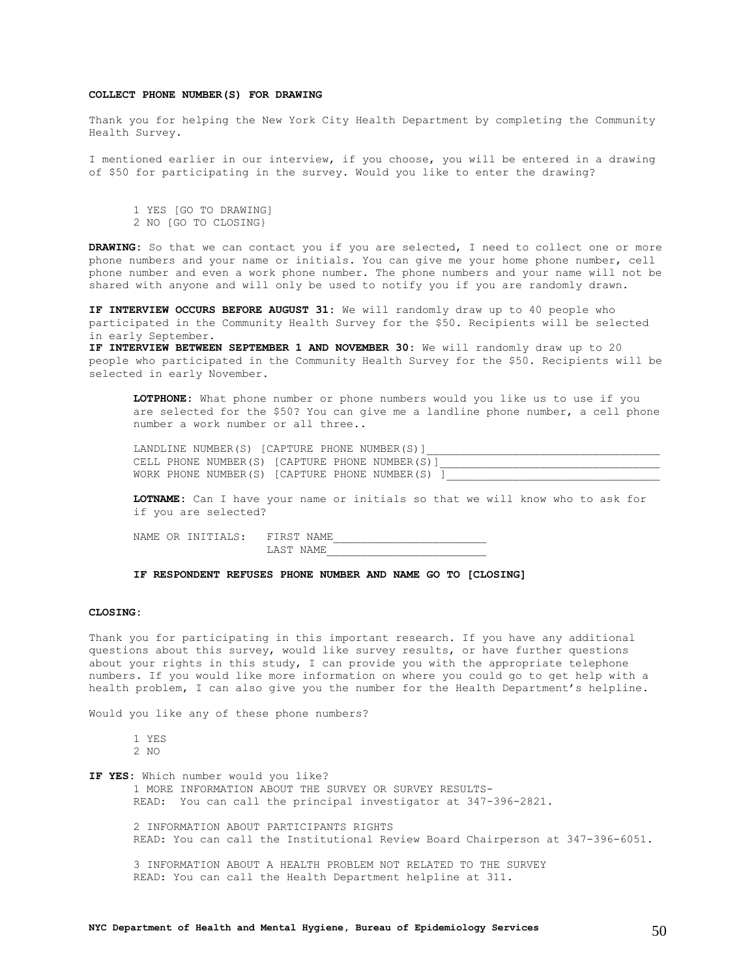### **COLLECT PHONE NUMBER(S) FOR DRAWING**

Thank you for helping the New York City Health Department by completing the Community Health Survey.

I mentioned earlier in our interview, if you choose, you will be entered in a drawing of \$50 for participating in the survey. Would you like to enter the drawing?

1 YES [GO TO DRAWING] 2 NO [GO TO CLOSING}

**DRAWING:** So that we can contact you if you are selected, I need to collect one or more phone numbers and your name or initials. You can give me your home phone number, cell phone number and even a work phone number. The phone numbers and your name will not be shared with anyone and will only be used to notify you if you are randomly drawn.

**IF INTERVIEW OCCURS BEFORE AUGUST 31:** We will randomly draw up to 40 people who participated in the Community Health Survey for the \$50. Recipients will be selected in early September.

**IF INTERVIEW BETWEEN SEPTEMBER 1 AND NOVEMBER 30:** We will randomly draw up to 20 people who participated in the Community Health Survey for the \$50. Recipients will be selected in early November.

**LOTPHONE:** What phone number or phone numbers would you like us to use if you are selected for the \$50? You can give me a landline phone number, a cell phone number a work number or all three..

LANDLINE NUMBER(S) [CAPTURE PHONE NUMBER(S)] CELL PHONE NUMBER(S) [CAPTURE PHONE NUMBER(S)] WORK PHONE NUMBER(S) [CAPTURE PHONE NUMBER(S) ]

**LOTNAME:** Can I have your name or initials so that we will know who to ask for if you are selected?

NAME OR INITIALS: FIRST NAME LAST NAME\_\_\_\_\_\_\_\_\_\_\_\_\_\_\_\_\_\_\_\_\_\_\_\_

<span id="page-49-0"></span>**IF RESPONDENT REFUSES PHONE NUMBER AND NAME GO TO [CLOSING]**

#### **CLOSING:**

Thank you for participating in this important research. If you have any additional questions about this survey, would like survey results, or have further questions about your rights in this study, I can provide you with the appropriate telephone numbers. If you would like more information on where you could go to get help with a health problem, I can also give you the number for the Health Department's helpline.

Would you like any of these phone numbers?

| o esta<br>۰. |
|--------------|
| ×<br>۰.      |

**IF YES:** Which number would you like? 1 MORE INFORMATION ABOUT THE SURVEY OR SURVEY RESULTS-READ: You can call the principal investigator at 347-396-2821.

2 INFORMATION ABOUT PARTICIPANTS RIGHTS READ: You can call the Institutional Review Board Chairperson at 347-396-6051.

3 INFORMATION ABOUT A HEALTH PROBLEM NOT RELATED TO THE SURVEY READ: You can call the Health Department helpline at 311.